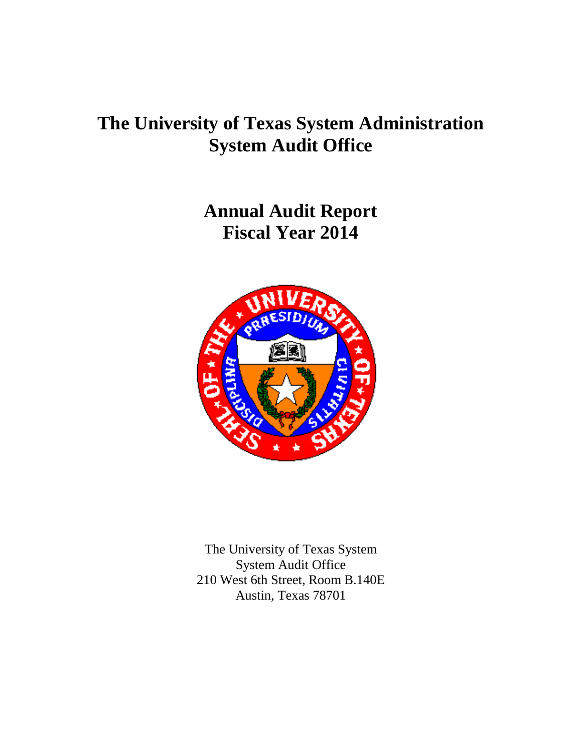## **The University of Texas System Administration System Audit Office**

**Annual Audit Report Fiscal Year 2014**



The University of Texas System System Audit Office 210 West 6th Street, Room B.140E Austin, Texas 78701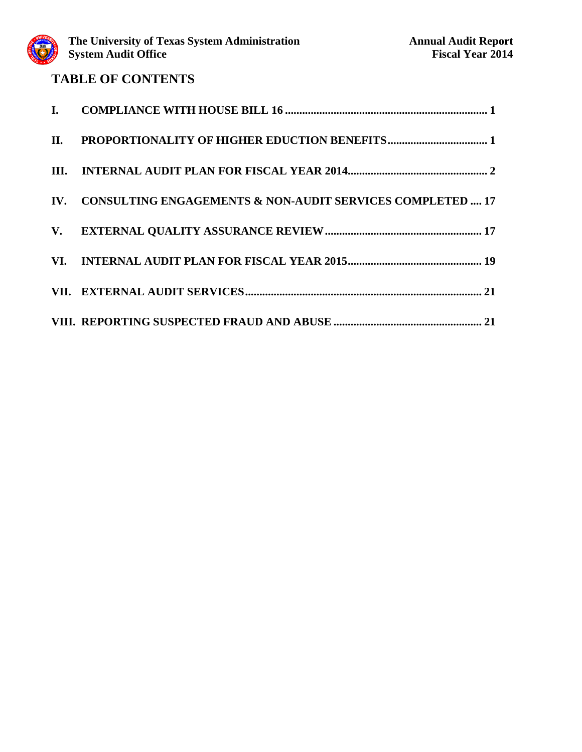### **TABLE OF CONTENTS**

| IV. CONSULTING ENGAGEMENTS & NON-AUDIT SERVICES COMPLETED  17 |  |
|---------------------------------------------------------------|--|
|                                                               |  |
|                                                               |  |
|                                                               |  |
|                                                               |  |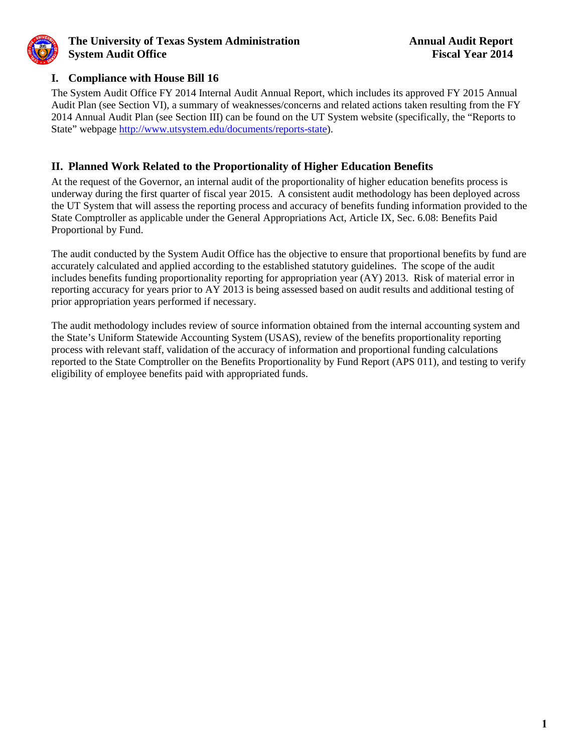<span id="page-2-0"></span>

### **I. Compliance with House Bill 16**

The System Audit Office FY 2014 Internal Audit Annual Report, which includes its approved FY 2015 Annual Audit Plan (see Section VI), a summary of weaknesses/concerns and related actions taken resulting from the FY 2014 Annual Audit Plan (see Section III) can be found on the UT System website (specifically, the "Reports to State" webpage [http://www.utsystem.edu/documents/reports-state\)](http://www.utsystem.edu/documents/reports-state).

### **II. Planned Work Related to the Proportionality of Higher Education Benefits**

At the request of the Governor, an internal audit of the proportionality of higher education benefits process is underway during the first quarter of fiscal year 2015. A consistent audit methodology has been deployed across the UT System that will assess the reporting process and accuracy of benefits funding information provided to the State Comptroller as applicable under the General Appropriations Act, Article IX, Sec. 6.08: Benefits Paid Proportional by Fund.

The audit conducted by the System Audit Office has the objective to ensure that proportional benefits by fund are accurately calculated and applied according to the established statutory guidelines. The scope of the audit includes benefits funding proportionality reporting for appropriation year (AY) 2013. Risk of material error in reporting accuracy for years prior to AY 2013 is being assessed based on audit results and additional testing of prior appropriation years performed if necessary.

The audit methodology includes review of source information obtained from the internal accounting system and the State's Uniform Statewide Accounting System (USAS), review of the benefits proportionality reporting process with relevant staff, validation of the accuracy of information and proportional funding calculations reported to the State Comptroller on the Benefits Proportionality by Fund Report (APS 011), and testing to verify eligibility of employee benefits paid with appropriated funds.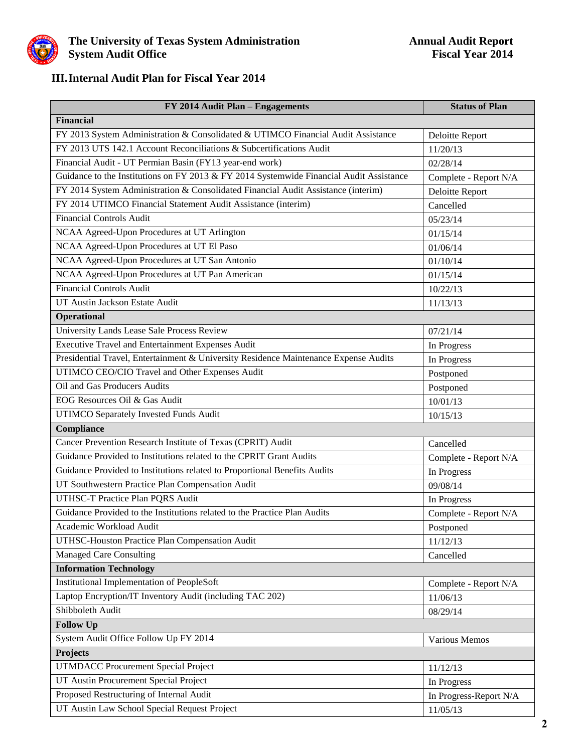<span id="page-3-0"></span>

### **III.Internal Audit Plan for Fiscal Year 2014**

| FY 2014 Audit Plan - Engagements                                                        | <b>Status of Plan</b>  |
|-----------------------------------------------------------------------------------------|------------------------|
| <b>Financial</b>                                                                        |                        |
| FY 2013 System Administration & Consolidated & UTIMCO Financial Audit Assistance        | Deloitte Report        |
| FY 2013 UTS 142.1 Account Reconciliations & Subcertifications Audit                     | 11/20/13               |
| Financial Audit - UT Permian Basin (FY13 year-end work)                                 | 02/28/14               |
| Guidance to the Institutions on FY 2013 & FY 2014 Systemwide Financial Audit Assistance | Complete - Report N/A  |
| FY 2014 System Administration & Consolidated Financial Audit Assistance (interim)       | Deloitte Report        |
| FY 2014 UTIMCO Financial Statement Audit Assistance (interim)                           | Cancelled              |
| <b>Financial Controls Audit</b>                                                         | 05/23/14               |
| NCAA Agreed-Upon Procedures at UT Arlington                                             | 01/15/14               |
| NCAA Agreed-Upon Procedures at UT El Paso                                               | 01/06/14               |
| NCAA Agreed-Upon Procedures at UT San Antonio                                           | 01/10/14               |
| NCAA Agreed-Upon Procedures at UT Pan American                                          | 01/15/14               |
| <b>Financial Controls Audit</b>                                                         | 10/22/13               |
| UT Austin Jackson Estate Audit                                                          | 11/13/13               |
| Operational                                                                             |                        |
| University Lands Lease Sale Process Review                                              | 07/21/14               |
| Executive Travel and Entertainment Expenses Audit                                       | In Progress            |
| Presidential Travel, Entertainment & University Residence Maintenance Expense Audits    | In Progress            |
| UTIMCO CEO/CIO Travel and Other Expenses Audit                                          | Postponed              |
| Oil and Gas Producers Audits                                                            | Postponed              |
| EOG Resources Oil & Gas Audit                                                           | 10/01/13               |
| UTIMCO Separately Invested Funds Audit                                                  | 10/15/13               |
| Compliance                                                                              |                        |
| Cancer Prevention Research Institute of Texas (CPRIT) Audit                             | Cancelled              |
| Guidance Provided to Institutions related to the CPRIT Grant Audits                     | Complete - Report N/A  |
| Guidance Provided to Institutions related to Proportional Benefits Audits               | In Progress            |
| UT Southwestern Practice Plan Compensation Audit                                        | 09/08/14               |
| UTHSC-T Practice Plan PQRS Audit                                                        | In Progress            |
| Guidance Provided to the Institutions related to the Practice Plan Audits               | Complete - Report N/A  |
| Academic Workload Audit                                                                 | Postponed              |
| UTHSC-Houston Practice Plan Compensation Audit                                          | 11/12/13               |
| <b>Managed Care Consulting</b>                                                          | Cancelled              |
| <b>Information Technology</b>                                                           |                        |
| <b>Institutional Implementation of PeopleSoft</b>                                       | Complete - Report N/A  |
| Laptop Encryption/IT Inventory Audit (including TAC 202)                                | 11/06/13               |
| Shibboleth Audit                                                                        | 08/29/14               |
| <b>Follow Up</b>                                                                        |                        |
| System Audit Office Follow Up FY 2014                                                   | Various Memos          |
| Projects                                                                                |                        |
| <b>UTMDACC Procurement Special Project</b>                                              | 11/12/13               |
| UT Austin Procurement Special Project                                                   | In Progress            |
| Proposed Restructuring of Internal Audit                                                | In Progress-Report N/A |
| UT Austin Law School Special Request Project                                            | 11/05/13               |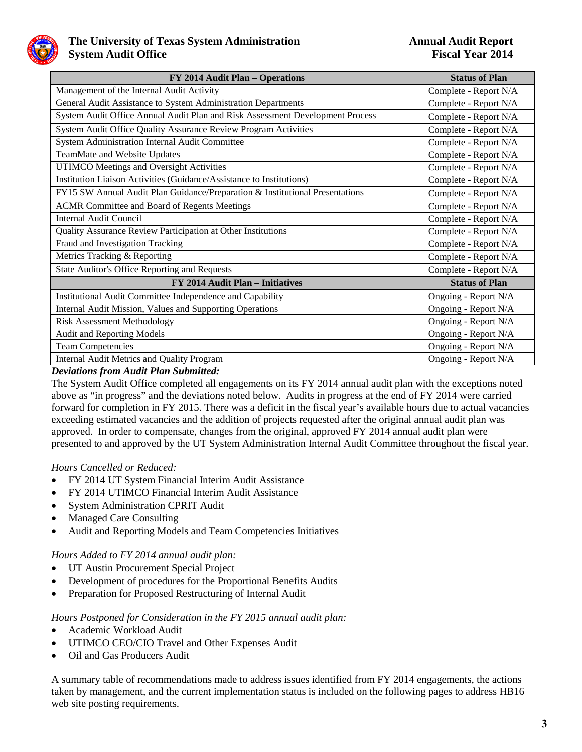

| FY 2014 Audit Plan - Operations                                               | <b>Status of Plan</b> |
|-------------------------------------------------------------------------------|-----------------------|
| Management of the Internal Audit Activity                                     | Complete - Report N/A |
| General Audit Assistance to System Administration Departments                 | Complete - Report N/A |
| System Audit Office Annual Audit Plan and Risk Assessment Development Process | Complete - Report N/A |
| System Audit Office Quality Assurance Review Program Activities               | Complete - Report N/A |
| System Administration Internal Audit Committee                                | Complete - Report N/A |
| TeamMate and Website Updates                                                  | Complete - Report N/A |
| UTIMCO Meetings and Oversight Activities                                      | Complete - Report N/A |
| Institution Liaison Activities (Guidance/Assistance to Institutions)          | Complete - Report N/A |
| FY15 SW Annual Audit Plan Guidance/Preparation & Institutional Presentations  | Complete - Report N/A |
| <b>ACMR Committee and Board of Regents Meetings</b>                           | Complete - Report N/A |
| <b>Internal Audit Council</b>                                                 | Complete - Report N/A |
| Quality Assurance Review Participation at Other Institutions                  | Complete - Report N/A |
| Fraud and Investigation Tracking                                              | Complete - Report N/A |
| Metrics Tracking & Reporting                                                  | Complete - Report N/A |
| State Auditor's Office Reporting and Requests                                 | Complete - Report N/A |
| FY 2014 Audit Plan - Initiatives                                              | <b>Status of Plan</b> |
| Institutional Audit Committee Independence and Capability                     | Ongoing - Report N/A  |
| Internal Audit Mission, Values and Supporting Operations                      | Ongoing - Report N/A  |
| <b>Risk Assessment Methodology</b>                                            | Ongoing - Report N/A  |
| Audit and Reporting Models                                                    | Ongoing - Report N/A  |
| <b>Team Competencies</b>                                                      | Ongoing - Report N/A  |
| Internal Audit Metrics and Quality Program                                    | Ongoing - Report N/A  |

### *Deviations from Audit Plan Submitted:*

The System Audit Office completed all engagements on its FY 2014 annual audit plan with the exceptions noted above as "in progress" and the deviations noted below. Audits in progress at the end of FY 2014 were carried forward for completion in FY 2015. There was a deficit in the fiscal year's available hours due to actual vacancies exceeding estimated vacancies and the addition of projects requested after the original annual audit plan was approved. In order to compensate, changes from the original, approved FY 2014 annual audit plan were presented to and approved by the UT System Administration Internal Audit Committee throughout the fiscal year.

### *Hours Cancelled or Reduced:*

- FY 2014 UT System Financial Interim Audit Assistance
- FY 2014 UTIMCO Financial Interim Audit Assistance
- System Administration CPRIT Audit
- Managed Care Consulting
- Audit and Reporting Models and Team Competencies Initiatives

### *Hours Added to FY 2014 annual audit plan:*

- UT Austin Procurement Special Project
- Development of procedures for the Proportional Benefits Audits
- Preparation for Proposed Restructuring of Internal Audit

### *Hours Postponed for Consideration in the FY 2015 annual audit plan:*

- Academic Workload Audit
- UTIMCO CEO/CIO Travel and Other Expenses Audit
- Oil and Gas Producers Audit

A summary table of recommendations made to address issues identified from FY 2014 engagements, the actions taken by management, and the current implementation status is included on the following pages to address HB16 web site posting requirements.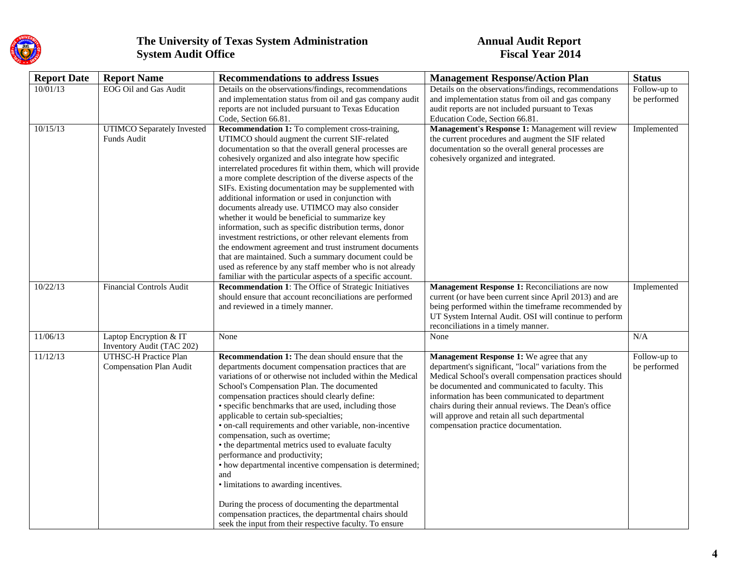

| <b>Report Date</b> | <b>Report Name</b>                                      | <b>Recommendations to address Issues</b>                                                                                                                                                                                                                                                                                                                                                                                                                                                                                                                                                                                                                                                                                                                                                                                                                                                                                                  | <b>Management Response/Action Plan</b>                                                                                                                                                                                                                                                                                                                                                                              | <b>Status</b>                |
|--------------------|---------------------------------------------------------|-------------------------------------------------------------------------------------------------------------------------------------------------------------------------------------------------------------------------------------------------------------------------------------------------------------------------------------------------------------------------------------------------------------------------------------------------------------------------------------------------------------------------------------------------------------------------------------------------------------------------------------------------------------------------------------------------------------------------------------------------------------------------------------------------------------------------------------------------------------------------------------------------------------------------------------------|---------------------------------------------------------------------------------------------------------------------------------------------------------------------------------------------------------------------------------------------------------------------------------------------------------------------------------------------------------------------------------------------------------------------|------------------------------|
| 10/01/13           | EOG Oil and Gas Audit                                   | Details on the observations/findings, recommendations<br>and implementation status from oil and gas company audit<br>reports are not included pursuant to Texas Education<br>Code, Section 66.81.                                                                                                                                                                                                                                                                                                                                                                                                                                                                                                                                                                                                                                                                                                                                         | Details on the observations/findings, recommendations<br>and implementation status from oil and gas company<br>audit reports are not included pursuant to Texas<br>Education Code, Section 66.81.                                                                                                                                                                                                                   | Follow-up to<br>be performed |
| 10/15/13           | UTIMCO Separately Invested<br>Funds Audit               | Recommendation 1: To complement cross-training,<br>UTIMCO should augment the current SIF-related<br>documentation so that the overall general processes are<br>cohesively organized and also integrate how specific<br>interrelated procedures fit within them, which will provide<br>a more complete description of the diverse aspects of the<br>SIFs. Existing documentation may be supplemented with<br>additional information or used in conjunction with<br>documents already use. UTIMCO may also consider<br>whether it would be beneficial to summarize key<br>information, such as specific distribution terms, donor<br>investment restrictions, or other relevant elements from<br>the endowment agreement and trust instrument documents<br>that are maintained. Such a summary document could be<br>used as reference by any staff member who is not already<br>familiar with the particular aspects of a specific account. | Management's Response 1: Management will review<br>the current procedures and augment the SIF related<br>documentation so the overall general processes are<br>cohesively organized and integrated.                                                                                                                                                                                                                 | Implemented                  |
| 10/22/13           | <b>Financial Controls Audit</b>                         | <b>Recommendation 1:</b> The Office of Strategic Initiatives<br>should ensure that account reconciliations are performed<br>and reviewed in a timely manner.                                                                                                                                                                                                                                                                                                                                                                                                                                                                                                                                                                                                                                                                                                                                                                              | Management Response 1: Reconciliations are now<br>current (or have been current since April 2013) and are<br>being performed within the timeframe recommended by<br>UT System Internal Audit. OSI will continue to perform<br>reconciliations in a timely manner.                                                                                                                                                   | Implemented                  |
| 11/06/13           | Laptop Encryption & IT<br>Inventory Audit (TAC 202)     | None                                                                                                                                                                                                                                                                                                                                                                                                                                                                                                                                                                                                                                                                                                                                                                                                                                                                                                                                      | None                                                                                                                                                                                                                                                                                                                                                                                                                | N/A                          |
| 11/12/13           | <b>UTHSC-H Practice Plan</b><br>Compensation Plan Audit | <b>Recommendation 1:</b> The dean should ensure that the<br>departments document compensation practices that are<br>variations of or otherwise not included within the Medical<br>School's Compensation Plan. The documented<br>compensation practices should clearly define:<br>• specific benchmarks that are used, including those<br>applicable to certain sub-specialties;<br>· on-call requirements and other variable, non-incentive<br>compensation, such as overtime;<br>• the departmental metrics used to evaluate faculty<br>performance and productivity;<br>• how departmental incentive compensation is determined;<br>and<br>· limitations to awarding incentives.<br>During the process of documenting the departmental<br>compensation practices, the departmental chairs should<br>seek the input from their respective faculty. To ensure                                                                             | Management Response 1: We agree that any<br>department's significant, "local" variations from the<br>Medical School's overall compensation practices should<br>be documented and communicated to faculty. This<br>information has been communicated to department<br>chairs during their annual reviews. The Dean's office<br>will approve and retain all such departmental<br>compensation practice documentation. | Follow-up to<br>be performed |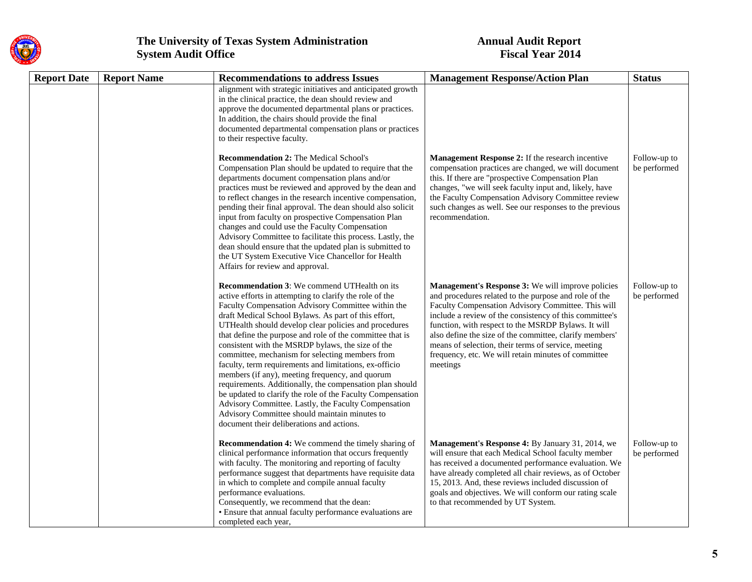

| <b>Report Date</b> | <b>Report Name</b> | <b>Recommendations to address Issues</b>                                                                                                                                                                                                                                                                                                                                                                                                                                                                                                                                                                                                                                                                                                                                                                                                                | <b>Management Response/Action Plan</b>                                                                                                                                                                                                                                                                                                                                                                                                                                  | <b>Status</b>                |
|--------------------|--------------------|---------------------------------------------------------------------------------------------------------------------------------------------------------------------------------------------------------------------------------------------------------------------------------------------------------------------------------------------------------------------------------------------------------------------------------------------------------------------------------------------------------------------------------------------------------------------------------------------------------------------------------------------------------------------------------------------------------------------------------------------------------------------------------------------------------------------------------------------------------|-------------------------------------------------------------------------------------------------------------------------------------------------------------------------------------------------------------------------------------------------------------------------------------------------------------------------------------------------------------------------------------------------------------------------------------------------------------------------|------------------------------|
|                    |                    | alignment with strategic initiatives and anticipated growth<br>in the clinical practice, the dean should review and<br>approve the documented departmental plans or practices.<br>In addition, the chairs should provide the final<br>documented departmental compensation plans or practices<br>to their respective faculty.                                                                                                                                                                                                                                                                                                                                                                                                                                                                                                                           |                                                                                                                                                                                                                                                                                                                                                                                                                                                                         |                              |
|                    |                    | <b>Recommendation 2:</b> The Medical School's<br>Compensation Plan should be updated to require that the<br>departments document compensation plans and/or<br>practices must be reviewed and approved by the dean and<br>to reflect changes in the research incentive compensation,<br>pending their final approval. The dean should also solicit<br>input from faculty on prospective Compensation Plan<br>changes and could use the Faculty Compensation<br>Advisory Committee to facilitate this process. Lastly, the<br>dean should ensure that the updated plan is submitted to<br>the UT System Executive Vice Chancellor for Health<br>Affairs for review and approval.                                                                                                                                                                          | Management Response 2: If the research incentive<br>compensation practices are changed, we will document<br>this. If there are "prospective Compensation Plan<br>changes, "we will seek faculty input and, likely, have<br>the Faculty Compensation Advisory Committee review<br>such changes as well. See our responses to the previous<br>recommendation.                                                                                                             | Follow-up to<br>be performed |
|                    |                    | <b>Recommendation 3:</b> We commend UTHealth on its<br>active efforts in attempting to clarify the role of the<br>Faculty Compensation Advisory Committee within the<br>draft Medical School Bylaws. As part of this effort,<br>UTHealth should develop clear policies and procedures<br>that define the purpose and role of the committee that is<br>consistent with the MSRDP bylaws, the size of the<br>committee, mechanism for selecting members from<br>faculty, term requirements and limitations, ex-officio<br>members (if any), meeting frequency, and quorum<br>requirements. Additionally, the compensation plan should<br>be updated to clarify the role of the Faculty Compensation<br>Advisory Committee. Lastly, the Faculty Compensation<br>Advisory Committee should maintain minutes to<br>document their deliberations and actions. | Management's Response 3: We will improve policies<br>and procedures related to the purpose and role of the<br>Faculty Compensation Advisory Committee. This will<br>include a review of the consistency of this committee's<br>function, with respect to the MSRDP Bylaws. It will<br>also define the size of the committee, clarify members'<br>means of selection, their terms of service, meeting<br>frequency, etc. We will retain minutes of committee<br>meetings | Follow-up to<br>be performed |
|                    |                    | <b>Recommendation 4:</b> We commend the timely sharing of<br>clinical performance information that occurs frequently<br>with faculty. The monitoring and reporting of faculty<br>performance suggest that departments have requisite data<br>in which to complete and compile annual faculty<br>performance evaluations.<br>Consequently, we recommend that the dean:<br>• Ensure that annual faculty performance evaluations are<br>completed each year,                                                                                                                                                                                                                                                                                                                                                                                               | Management's Response 4: By January 31, 2014, we<br>will ensure that each Medical School faculty member<br>has received a documented performance evaluation. We<br>have already completed all chair reviews, as of October<br>15, 2013. And, these reviews included discussion of<br>goals and objectives. We will conform our rating scale<br>to that recommended by UT System.                                                                                        | Follow-up to<br>be performed |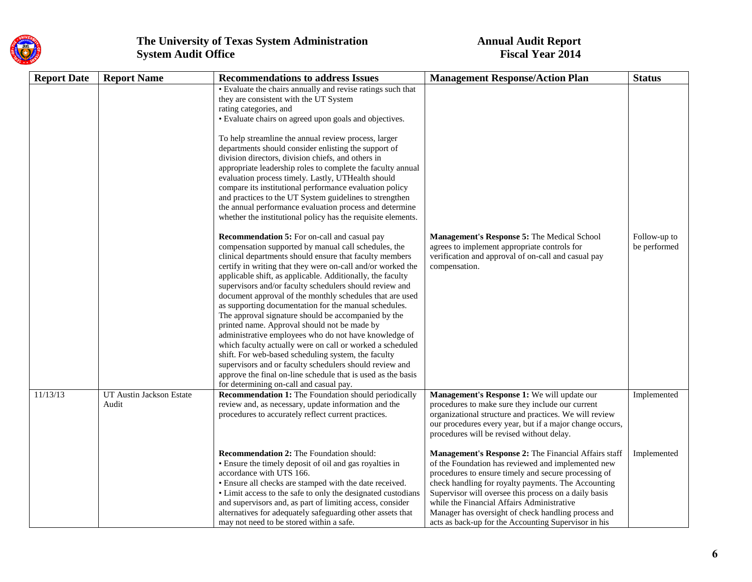

| <b>Report Date</b> | <b>Report Name</b>                | <b>Recommendations to address Issues</b>                                                                                                                                                                                                                                                                                                                                                                                                                                                                                                                                                                                                                                                                                                                                                                                                                                                                                                                                                                                                                                                                                                                                                                                                                                                                                                                                                                                                                                                                                                                                    | <b>Management Response/Action Plan</b>                                                                                                                                                                                                                                                                                                                                                                                                          | <b>Status</b>                |
|--------------------|-----------------------------------|-----------------------------------------------------------------------------------------------------------------------------------------------------------------------------------------------------------------------------------------------------------------------------------------------------------------------------------------------------------------------------------------------------------------------------------------------------------------------------------------------------------------------------------------------------------------------------------------------------------------------------------------------------------------------------------------------------------------------------------------------------------------------------------------------------------------------------------------------------------------------------------------------------------------------------------------------------------------------------------------------------------------------------------------------------------------------------------------------------------------------------------------------------------------------------------------------------------------------------------------------------------------------------------------------------------------------------------------------------------------------------------------------------------------------------------------------------------------------------------------------------------------------------------------------------------------------------|-------------------------------------------------------------------------------------------------------------------------------------------------------------------------------------------------------------------------------------------------------------------------------------------------------------------------------------------------------------------------------------------------------------------------------------------------|------------------------------|
|                    |                                   | • Evaluate the chairs annually and revise ratings such that<br>they are consistent with the UT System<br>rating categories, and<br>• Evaluate chairs on agreed upon goals and objectives.<br>To help streamline the annual review process, larger<br>departments should consider enlisting the support of<br>division directors, division chiefs, and others in<br>appropriate leadership roles to complete the faculty annual<br>evaluation process timely. Lastly, UTHealth should<br>compare its institutional performance evaluation policy<br>and practices to the UT System guidelines to strengthen<br>the annual performance evaluation process and determine<br>whether the institutional policy has the requisite elements.<br><b>Recommendation 5:</b> For on-call and casual pay<br>compensation supported by manual call schedules, the<br>clinical departments should ensure that faculty members<br>certify in writing that they were on-call and/or worked the<br>applicable shift, as applicable. Additionally, the faculty<br>supervisors and/or faculty schedulers should review and<br>document approval of the monthly schedules that are used<br>as supporting documentation for the manual schedules.<br>The approval signature should be accompanied by the<br>printed name. Approval should not be made by<br>administrative employees who do not have knowledge of<br>which faculty actually were on call or worked a scheduled<br>shift. For web-based scheduling system, the faculty<br>supervisors and or faculty schedulers should review and | Management's Response 5: The Medical School<br>agrees to implement appropriate controls for<br>verification and approval of on-call and casual pay<br>compensation.                                                                                                                                                                                                                                                                             | Follow-up to<br>be performed |
|                    |                                   | approve the final on-line schedule that is used as the basis<br>for determining on-call and casual pay.                                                                                                                                                                                                                                                                                                                                                                                                                                                                                                                                                                                                                                                                                                                                                                                                                                                                                                                                                                                                                                                                                                                                                                                                                                                                                                                                                                                                                                                                     |                                                                                                                                                                                                                                                                                                                                                                                                                                                 |                              |
| 11/13/13           | UT Austin Jackson Estate<br>Audit | <b>Recommendation 1:</b> The Foundation should periodically<br>review and, as necessary, update information and the<br>procedures to accurately reflect current practices.                                                                                                                                                                                                                                                                                                                                                                                                                                                                                                                                                                                                                                                                                                                                                                                                                                                                                                                                                                                                                                                                                                                                                                                                                                                                                                                                                                                                  | Management's Response 1: We will update our<br>procedures to make sure they include our current<br>organizational structure and practices. We will review<br>our procedures every year, but if a major change occurs,<br>procedures will be revised without delay.                                                                                                                                                                              | Implemented                  |
|                    |                                   | <b>Recommendation 2:</b> The Foundation should:<br>• Ensure the timely deposit of oil and gas royalties in<br>accordance with UTS 166.<br>• Ensure all checks are stamped with the date received.<br>• Limit access to the safe to only the designated custodians<br>and supervisors and, as part of limiting access, consider<br>alternatives for adequately safeguarding other assets that<br>may not need to be stored within a safe.                                                                                                                                                                                                                                                                                                                                                                                                                                                                                                                                                                                                                                                                                                                                                                                                                                                                                                                                                                                                                                                                                                                                    | Management's Response 2: The Financial Affairs staff<br>of the Foundation has reviewed and implemented new<br>procedures to ensure timely and secure processing of<br>check handling for royalty payments. The Accounting<br>Supervisor will oversee this process on a daily basis<br>while the Financial Affairs Administrative<br>Manager has oversight of check handling process and<br>acts as back-up for the Accounting Supervisor in his | Implemented                  |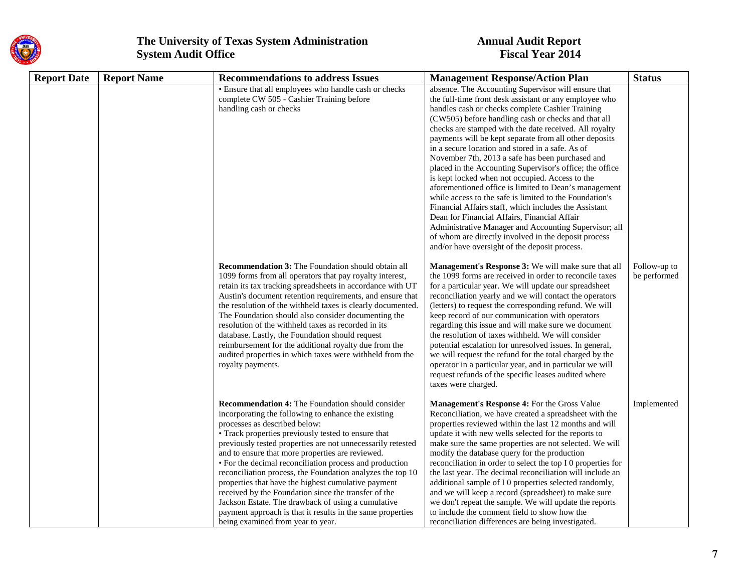

| <b>Report Date</b> | <b>Report Name</b> | <b>Recommendations to address Issues</b>                                                                                                                                                                                                                                                                                                                                                                                                                                                                                                                                                                                                                                                                                   | <b>Management Response/Action Plan</b>                                                                                                                                                                                                                                                                                                                                                                                                                                                                                                                                                                                                                                                                                                                                                                                                                                                                                                                             | <b>Status</b>                |
|--------------------|--------------------|----------------------------------------------------------------------------------------------------------------------------------------------------------------------------------------------------------------------------------------------------------------------------------------------------------------------------------------------------------------------------------------------------------------------------------------------------------------------------------------------------------------------------------------------------------------------------------------------------------------------------------------------------------------------------------------------------------------------------|--------------------------------------------------------------------------------------------------------------------------------------------------------------------------------------------------------------------------------------------------------------------------------------------------------------------------------------------------------------------------------------------------------------------------------------------------------------------------------------------------------------------------------------------------------------------------------------------------------------------------------------------------------------------------------------------------------------------------------------------------------------------------------------------------------------------------------------------------------------------------------------------------------------------------------------------------------------------|------------------------------|
|                    |                    | • Ensure that all employees who handle cash or checks<br>complete CW 505 - Cashier Training before<br>handling cash or checks                                                                                                                                                                                                                                                                                                                                                                                                                                                                                                                                                                                              | absence. The Accounting Supervisor will ensure that<br>the full-time front desk assistant or any employee who<br>handles cash or checks complete Cashier Training<br>(CW505) before handling cash or checks and that all<br>checks are stamped with the date received. All royalty<br>payments will be kept separate from all other deposits<br>in a secure location and stored in a safe. As of<br>November 7th, 2013 a safe has been purchased and<br>placed in the Accounting Supervisor's office; the office<br>is kept locked when not occupied. Access to the<br>aforementioned office is limited to Dean's management<br>while access to the safe is limited to the Foundation's<br>Financial Affairs staff, which includes the Assistant<br>Dean for Financial Affairs, Financial Affair<br>Administrative Manager and Accounting Supervisor; all<br>of whom are directly involved in the deposit process<br>and/or have oversight of the deposit process. |                              |
|                    |                    | <b>Recommendation 3:</b> The Foundation should obtain all<br>1099 forms from all operators that pay royalty interest,<br>retain its tax tracking spreadsheets in accordance with UT<br>Austin's document retention requirements, and ensure that<br>the resolution of the withheld taxes is clearly documented.<br>The Foundation should also consider documenting the<br>resolution of the withheld taxes as recorded in its<br>database. Lastly, the Foundation should request<br>reimbursement for the additional royalty due from the<br>audited properties in which taxes were withheld from the<br>royalty payments.                                                                                                 | Management's Response 3: We will make sure that all<br>the 1099 forms are received in order to reconcile taxes<br>for a particular year. We will update our spreadsheet<br>reconciliation yearly and we will contact the operators<br>(letters) to request the corresponding refund. We will<br>keep record of our communication with operators<br>regarding this issue and will make sure we document<br>the resolution of taxes withheld. We will consider<br>potential escalation for unresolved issues. In general,<br>we will request the refund for the total charged by the<br>operator in a particular year, and in particular we will<br>request refunds of the specific leases audited where<br>taxes were charged.                                                                                                                                                                                                                                      | Follow-up to<br>be performed |
|                    |                    | <b>Recommendation 4:</b> The Foundation should consider<br>incorporating the following to enhance the existing<br>processes as described below:<br>• Track properties previously tested to ensure that<br>previously tested properties are not unnecessarily retested<br>and to ensure that more properties are reviewed.<br>• For the decimal reconciliation process and production<br>reconciliation process, the Foundation analyzes the top 10<br>properties that have the highest cumulative payment<br>received by the Foundation since the transfer of the<br>Jackson Estate. The drawback of using a cumulative<br>payment approach is that it results in the same properties<br>being examined from year to year. | Management's Response 4: For the Gross Value<br>Reconciliation, we have created a spreadsheet with the<br>properties reviewed within the last 12 months and will<br>update it with new wells selected for the reports to<br>make sure the same properties are not selected. We will<br>modify the database query for the production<br>reconciliation in order to select the top I 0 properties for<br>the last year. The decimal reconciliation will include an<br>additional sample of I 0 properties selected randomly,<br>and we will keep a record (spreadsheet) to make sure<br>we don't repeat the sample. We will update the reports<br>to include the comment field to show how the<br>reconciliation differences are being investigated.                                                                                                                                                                                                                 | Implemented                  |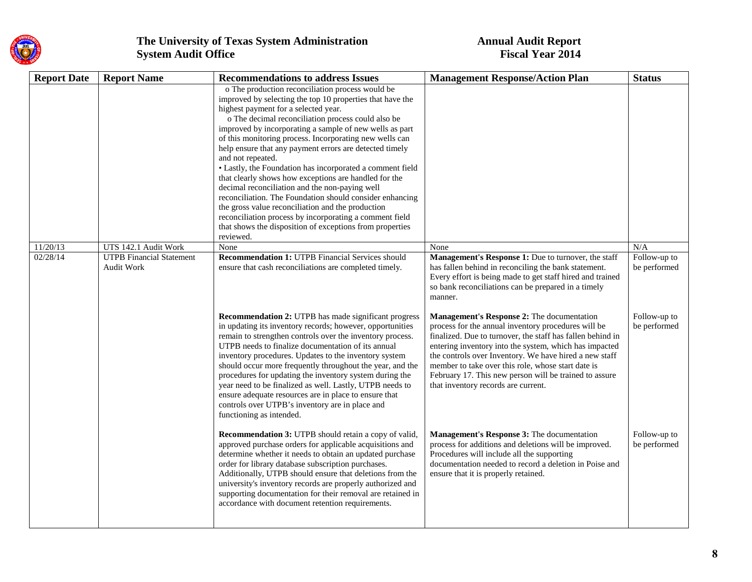

| <b>Report Date</b> | <b>Report Name</b>                                   | <b>Recommendations to address Issues</b>                                                                                                                                                                                                                                                                                                                                                                                                                                                                                                                                                                                                                                                                                                                                                                                                       | <b>Management Response/Action Plan</b>                                                                                                                                                                                                                                                                                                                                                                                                     | <b>Status</b>                |
|--------------------|------------------------------------------------------|------------------------------------------------------------------------------------------------------------------------------------------------------------------------------------------------------------------------------------------------------------------------------------------------------------------------------------------------------------------------------------------------------------------------------------------------------------------------------------------------------------------------------------------------------------------------------------------------------------------------------------------------------------------------------------------------------------------------------------------------------------------------------------------------------------------------------------------------|--------------------------------------------------------------------------------------------------------------------------------------------------------------------------------------------------------------------------------------------------------------------------------------------------------------------------------------------------------------------------------------------------------------------------------------------|------------------------------|
|                    |                                                      | o The production reconciliation process would be<br>improved by selecting the top 10 properties that have the<br>highest payment for a selected year.<br>o The decimal reconciliation process could also be<br>improved by incorporating a sample of new wells as part<br>of this monitoring process. Incorporating new wells can<br>help ensure that any payment errors are detected timely<br>and not repeated.<br>• Lastly, the Foundation has incorporated a comment field<br>that clearly shows how exceptions are handled for the<br>decimal reconciliation and the non-paying well<br>reconciliation. The Foundation should consider enhancing<br>the gross value reconciliation and the production<br>reconciliation process by incorporating a comment field<br>that shows the disposition of exceptions from properties<br>reviewed. |                                                                                                                                                                                                                                                                                                                                                                                                                                            |                              |
| 11/20/13           | UTS 142.1 Audit Work                                 | None                                                                                                                                                                                                                                                                                                                                                                                                                                                                                                                                                                                                                                                                                                                                                                                                                                           | None                                                                                                                                                                                                                                                                                                                                                                                                                                       | N/A                          |
| 02/28/14           | <b>UTPB</b> Financial Statement<br><b>Audit Work</b> | <b>Recommendation 1: UTPB Financial Services should</b><br>ensure that cash reconciliations are completed timely.                                                                                                                                                                                                                                                                                                                                                                                                                                                                                                                                                                                                                                                                                                                              | Management's Response 1: Due to turnover, the staff<br>has fallen behind in reconciling the bank statement.<br>Every effort is being made to get staff hired and trained<br>so bank reconciliations can be prepared in a timely<br>manner.                                                                                                                                                                                                 | Follow-up to<br>be performed |
|                    |                                                      | <b>Recommendation 2: UTPB</b> has made significant progress<br>in updating its inventory records; however, opportunities<br>remain to strengthen controls over the inventory process.<br>UTPB needs to finalize documentation of its annual<br>inventory procedures. Updates to the inventory system<br>should occur more frequently throughout the year, and the<br>procedures for updating the inventory system during the<br>year need to be finalized as well. Lastly, UTPB needs to<br>ensure adequate resources are in place to ensure that<br>controls over UTPB's inventory are in place and<br>functioning as intended.                                                                                                                                                                                                               | Management's Response 2: The documentation<br>process for the annual inventory procedures will be<br>finalized. Due to turnover, the staff has fallen behind in<br>entering inventory into the system, which has impacted<br>the controls over Inventory. We have hired a new staff<br>member to take over this role, whose start date is<br>February 17. This new person will be trained to assure<br>that inventory records are current. | Follow-up to<br>be performed |
|                    |                                                      | Recommendation 3: UTPB should retain a copy of valid,<br>approved purchase orders for applicable acquisitions and<br>determine whether it needs to obtain an updated purchase<br>order for library database subscription purchases.<br>Additionally, UTPB should ensure that deletions from the<br>university's inventory records are properly authorized and<br>supporting documentation for their removal are retained in<br>accordance with document retention requirements.                                                                                                                                                                                                                                                                                                                                                                | Management's Response 3: The documentation<br>process for additions and deletions will be improved.<br>Procedures will include all the supporting<br>documentation needed to record a deletion in Poise and<br>ensure that it is properly retained.                                                                                                                                                                                        | Follow-up to<br>be performed |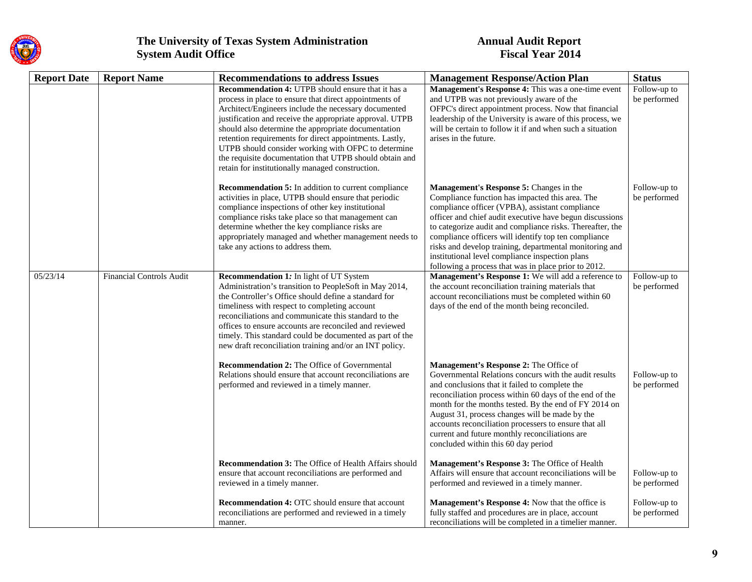

| <b>Report Date</b> | <b>Report Name</b>              | <b>Recommendations to address Issues</b>                                                                                                                                                                                                                                                                                                                                                                                                                                                                                        | <b>Management Response/Action Plan</b>                                                                                                                                                                                                                                                                                                                                                                                                                                                               | <b>Status</b>                |
|--------------------|---------------------------------|---------------------------------------------------------------------------------------------------------------------------------------------------------------------------------------------------------------------------------------------------------------------------------------------------------------------------------------------------------------------------------------------------------------------------------------------------------------------------------------------------------------------------------|------------------------------------------------------------------------------------------------------------------------------------------------------------------------------------------------------------------------------------------------------------------------------------------------------------------------------------------------------------------------------------------------------------------------------------------------------------------------------------------------------|------------------------------|
|                    |                                 | <b>Recommendation 4: UTPB</b> should ensure that it has a<br>process in place to ensure that direct appointments of<br>Architect/Engineers include the necessary documented<br>justification and receive the appropriate approval. UTPB<br>should also determine the appropriate documentation<br>retention requirements for direct appointments. Lastly,<br>UTPB should consider working with OFPC to determine<br>the requisite documentation that UTPB should obtain and<br>retain for institutionally managed construction. | Management's Response 4: This was a one-time event<br>and UTPB was not previously aware of the<br>OFPC's direct appointment process. Now that financial<br>leadership of the University is aware of this process, we<br>will be certain to follow it if and when such a situation<br>arises in the future.                                                                                                                                                                                           | Follow-up to<br>be performed |
|                    |                                 | Recommendation 5: In addition to current compliance<br>activities in place, UTPB should ensure that periodic<br>compliance inspections of other key institutional<br>compliance risks take place so that management can<br>determine whether the key compliance risks are<br>appropriately managed and whether management needs to<br>take any actions to address them.                                                                                                                                                         | Management's Response 5: Changes in the<br>Compliance function has impacted this area. The<br>compliance officer (VPBA), assistant compliance<br>officer and chief audit executive have begun discussions<br>to categorize audit and compliance risks. Thereafter, the<br>compliance officers will identify top ten compliance<br>risks and develop training, departmental monitoring and<br>institutional level compliance inspection plans<br>following a process that was in place prior to 2012. | Follow-up to<br>be performed |
| 05/23/14           | <b>Financial Controls Audit</b> | Recommendation 1: In light of UT System<br>Administration's transition to PeopleSoft in May 2014,<br>the Controller's Office should define a standard for<br>timeliness with respect to completing account<br>reconciliations and communicate this standard to the<br>offices to ensure accounts are reconciled and reviewed<br>timely. This standard could be documented as part of the<br>new draft reconciliation training and/or an INT policy.                                                                             | Management's Response 1: We will add a reference to<br>the account reconciliation training materials that<br>account reconciliations must be completed within 60<br>days of the end of the month being reconciled.                                                                                                                                                                                                                                                                                   | Follow-up to<br>be performed |
|                    |                                 | <b>Recommendation 2:</b> The Office of Governmental<br>Relations should ensure that account reconciliations are<br>performed and reviewed in a timely manner.                                                                                                                                                                                                                                                                                                                                                                   | Management's Response 2: The Office of<br>Governmental Relations concurs with the audit results<br>and conclusions that it failed to complete the<br>reconciliation process within 60 days of the end of the<br>month for the months tested. By the end of FY 2014 on<br>August 31, process changes will be made by the<br>accounts reconciliation processers to ensure that all<br>current and future monthly reconciliations are<br>concluded within this 60 day period                            | Follow-up to<br>be performed |
|                    |                                 | <b>Recommendation 3:</b> The Office of Health Affairs should<br>ensure that account reconciliations are performed and<br>reviewed in a timely manner.                                                                                                                                                                                                                                                                                                                                                                           | Management's Response 3: The Office of Health<br>Affairs will ensure that account reconciliations will be<br>performed and reviewed in a timely manner.                                                                                                                                                                                                                                                                                                                                              | Follow-up to<br>be performed |
|                    |                                 | <b>Recommendation 4: OTC</b> should ensure that account<br>reconciliations are performed and reviewed in a timely<br>manner.                                                                                                                                                                                                                                                                                                                                                                                                    | Management's Response 4: Now that the office is<br>fully staffed and procedures are in place, account<br>reconciliations will be completed in a timelier manner.                                                                                                                                                                                                                                                                                                                                     | Follow-up to<br>be performed |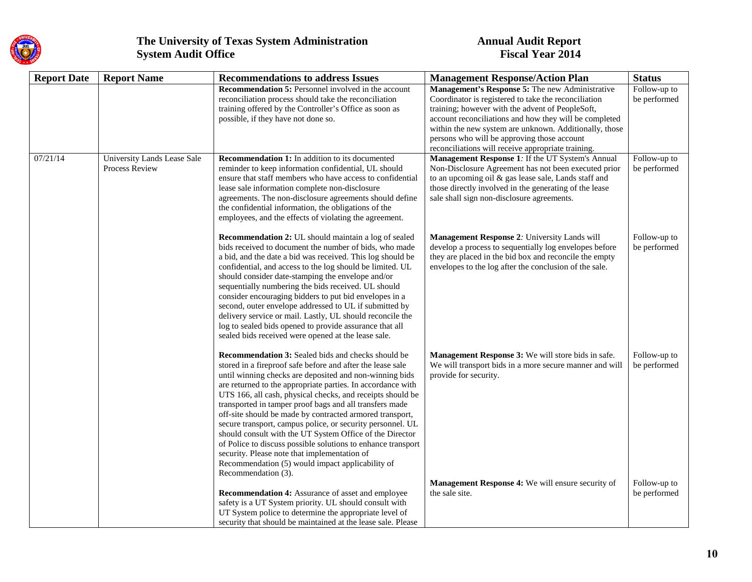

| <b>Report Date</b> | <b>Report Name</b>                            | <b>Recommendations to address Issues</b>                                                                                                                                                                                                                                                                                                                                                                                                                                                                                                                                                                                                                                                                                                                    | <b>Management Response/Action Plan</b>                                                                                                                                                                                                                                   | <b>Status</b>                |
|--------------------|-----------------------------------------------|-------------------------------------------------------------------------------------------------------------------------------------------------------------------------------------------------------------------------------------------------------------------------------------------------------------------------------------------------------------------------------------------------------------------------------------------------------------------------------------------------------------------------------------------------------------------------------------------------------------------------------------------------------------------------------------------------------------------------------------------------------------|--------------------------------------------------------------------------------------------------------------------------------------------------------------------------------------------------------------------------------------------------------------------------|------------------------------|
|                    |                                               | <b>Recommendation 5:</b> Personnel involved in the account                                                                                                                                                                                                                                                                                                                                                                                                                                                                                                                                                                                                                                                                                                  | Management's Response 5: The new Administrative                                                                                                                                                                                                                          | Follow-up to                 |
|                    |                                               | reconciliation process should take the reconciliation                                                                                                                                                                                                                                                                                                                                                                                                                                                                                                                                                                                                                                                                                                       | Coordinator is registered to take the reconciliation                                                                                                                                                                                                                     | be performed                 |
|                    |                                               | training offered by the Controller's Office as soon as                                                                                                                                                                                                                                                                                                                                                                                                                                                                                                                                                                                                                                                                                                      | training; however with the advent of PeopleSoft,                                                                                                                                                                                                                         |                              |
|                    |                                               | possible, if they have not done so.                                                                                                                                                                                                                                                                                                                                                                                                                                                                                                                                                                                                                                                                                                                         | account reconciliations and how they will be completed                                                                                                                                                                                                                   |                              |
|                    |                                               |                                                                                                                                                                                                                                                                                                                                                                                                                                                                                                                                                                                                                                                                                                                                                             | within the new system are unknown. Additionally, those                                                                                                                                                                                                                   |                              |
|                    |                                               |                                                                                                                                                                                                                                                                                                                                                                                                                                                                                                                                                                                                                                                                                                                                                             | persons who will be approving those account                                                                                                                                                                                                                              |                              |
|                    |                                               |                                                                                                                                                                                                                                                                                                                                                                                                                                                                                                                                                                                                                                                                                                                                                             | reconciliations will receive appropriate training.                                                                                                                                                                                                                       |                              |
| 07/21/14           | University Lands Lease Sale<br>Process Review | <b>Recommendation 1:</b> In addition to its documented<br>reminder to keep information confidential, UL should<br>ensure that staff members who have access to confidential<br>lease sale information complete non-disclosure<br>agreements. The non-disclosure agreements should define<br>the confidential information, the obligations of the                                                                                                                                                                                                                                                                                                                                                                                                            | Management Response 1: If the UT System's Annual<br>Non-Disclosure Agreement has not been executed prior<br>to an upcoming oil & gas lease sale, Lands staff and<br>those directly involved in the generating of the lease<br>sale shall sign non-disclosure agreements. | Follow-up to<br>be performed |
|                    |                                               | employees, and the effects of violating the agreement.                                                                                                                                                                                                                                                                                                                                                                                                                                                                                                                                                                                                                                                                                                      |                                                                                                                                                                                                                                                                          |                              |
|                    |                                               | Recommendation 2: UL should maintain a log of sealed<br>bids received to document the number of bids, who made<br>a bid, and the date a bid was received. This log should be<br>confidential, and access to the log should be limited. UL<br>should consider date-stamping the envelope and/or<br>sequentially numbering the bids received. UL should<br>consider encouraging bidders to put bid envelopes in a<br>second, outer envelope addressed to UL if submitted by<br>delivery service or mail. Lastly, UL should reconcile the<br>log to sealed bids opened to provide assurance that all<br>sealed bids received were opened at the lease sale.                                                                                                    | Management Response 2: University Lands will<br>develop a process to sequentially log envelopes before<br>they are placed in the bid box and reconcile the empty<br>envelopes to the log after the conclusion of the sale.                                               | Follow-up to<br>be performed |
|                    |                                               | <b>Recommendation 3:</b> Sealed bids and checks should be<br>stored in a fireproof safe before and after the lease sale<br>until winning checks are deposited and non-winning bids<br>are returned to the appropriate parties. In accordance with<br>UTS 166, all cash, physical checks, and receipts should be<br>transported in tamper proof bags and all transfers made<br>off-site should be made by contracted armored transport,<br>secure transport, campus police, or security personnel. UL<br>should consult with the UT System Office of the Director<br>of Police to discuss possible solutions to enhance transport<br>security. Please note that implementation of<br>Recommendation (5) would impact applicability of<br>Recommendation (3). | Management Response 3: We will store bids in safe.<br>We will transport bids in a more secure manner and will<br>provide for security.                                                                                                                                   | Follow-up to<br>be performed |
|                    |                                               |                                                                                                                                                                                                                                                                                                                                                                                                                                                                                                                                                                                                                                                                                                                                                             | Management Response 4: We will ensure security of                                                                                                                                                                                                                        | Follow-up to                 |
|                    |                                               | <b>Recommendation 4:</b> Assurance of asset and employee                                                                                                                                                                                                                                                                                                                                                                                                                                                                                                                                                                                                                                                                                                    | the sale site.                                                                                                                                                                                                                                                           | be performed                 |
|                    |                                               | safety is a UT System priority. UL should consult with                                                                                                                                                                                                                                                                                                                                                                                                                                                                                                                                                                                                                                                                                                      |                                                                                                                                                                                                                                                                          |                              |
|                    |                                               | UT System police to determine the appropriate level of                                                                                                                                                                                                                                                                                                                                                                                                                                                                                                                                                                                                                                                                                                      |                                                                                                                                                                                                                                                                          |                              |
|                    |                                               | security that should be maintained at the lease sale. Please                                                                                                                                                                                                                                                                                                                                                                                                                                                                                                                                                                                                                                                                                                |                                                                                                                                                                                                                                                                          |                              |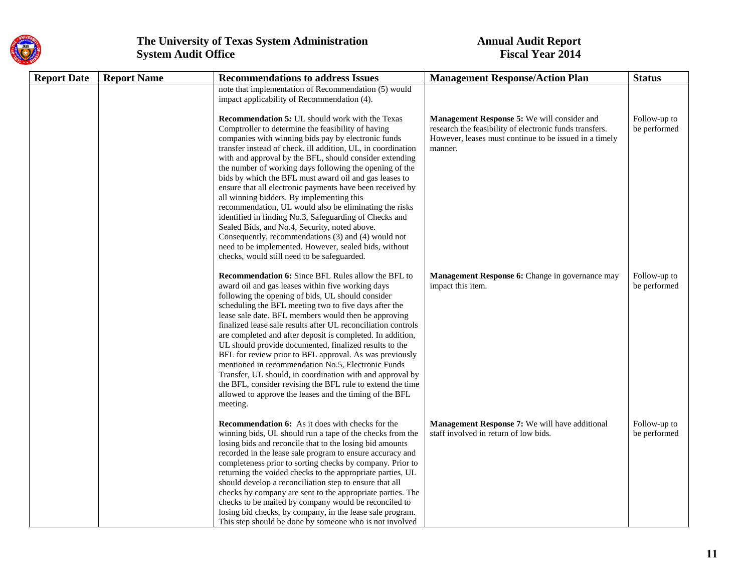

# **The University of Texas System Administration System Audit Office**

# **System Audit Office Fiscal Year 2014**

| <b>Report Date</b> | <b>Report Name</b> | <b>Recommendations to address Issues</b>                                                                                                                                                                                                                                                                                                                                                                                                                                                                                                                                                                                                                                                                                                                                                                                                                          | <b>Management Response/Action Plan</b>                                                                                                                                      | <b>Status</b>                |
|--------------------|--------------------|-------------------------------------------------------------------------------------------------------------------------------------------------------------------------------------------------------------------------------------------------------------------------------------------------------------------------------------------------------------------------------------------------------------------------------------------------------------------------------------------------------------------------------------------------------------------------------------------------------------------------------------------------------------------------------------------------------------------------------------------------------------------------------------------------------------------------------------------------------------------|-----------------------------------------------------------------------------------------------------------------------------------------------------------------------------|------------------------------|
|                    |                    | note that implementation of Recommendation (5) would<br>impact applicability of Recommendation (4).                                                                                                                                                                                                                                                                                                                                                                                                                                                                                                                                                                                                                                                                                                                                                               |                                                                                                                                                                             |                              |
|                    |                    | <b>Recommendation 5:</b> UL should work with the Texas<br>Comptroller to determine the feasibility of having<br>companies with winning bids pay by electronic funds<br>transfer instead of check. ill addition, UL, in coordination<br>with and approval by the BFL, should consider extending<br>the number of working days following the opening of the<br>bids by which the BFL must award oil and gas leases to<br>ensure that all electronic payments have been received by<br>all winning bidders. By implementing this<br>recommendation, UL would also be eliminating the risks<br>identified in finding No.3, Safeguarding of Checks and<br>Sealed Bids, and No.4, Security, noted above.<br>Consequently, recommendations (3) and (4) would not<br>need to be implemented. However, sealed bids, without<br>checks, would still need to be safeguarded. | Management Response 5: We will consider and<br>research the feasibility of electronic funds transfers.<br>However, leases must continue to be issued in a timely<br>manner. | Follow-up to<br>be performed |
|                    |                    | Recommendation 6: Since BFL Rules allow the BFL to<br>award oil and gas leases within five working days<br>following the opening of bids, UL should consider<br>scheduling the BFL meeting two to five days after the<br>lease sale date. BFL members would then be approving<br>finalized lease sale results after UL reconciliation controls<br>are completed and after deposit is completed. In addition,<br>UL should provide documented, finalized results to the<br>BFL for review prior to BFL approval. As was previously<br>mentioned in recommendation No.5, Electronic Funds<br>Transfer, UL should, in coordination with and approval by<br>the BFL, consider revising the BFL rule to extend the time<br>allowed to approve the leases and the timing of the BFL<br>meeting.                                                                         | Management Response 6: Change in governance may<br>impact this item.                                                                                                        | Follow-up to<br>be performed |
|                    |                    | <b>Recommendation 6:</b> As it does with checks for the<br>winning bids, UL should run a tape of the checks from the<br>losing bids and reconcile that to the losing bid amounts<br>recorded in the lease sale program to ensure accuracy and<br>completeness prior to sorting checks by company. Prior to<br>returning the voided checks to the appropriate parties, UL<br>should develop a reconciliation step to ensure that all<br>checks by company are sent to the appropriate parties. The<br>checks to be mailed by company would be reconciled to<br>losing bid checks, by company, in the lease sale program.<br>This step should be done by someone who is not involved                                                                                                                                                                                | Management Response 7: We will have additional<br>staff involved in return of low bids.                                                                                     | Follow-up to<br>be performed |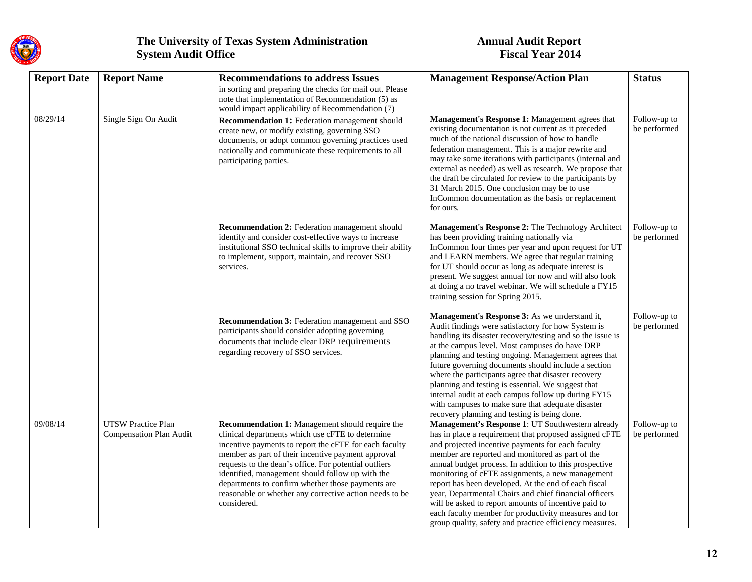

| <b>Report Date</b> | <b>Report Name</b>                                   | <b>Recommendations to address Issues</b>                                                                                                                                                                                                                                                                                                                                                                                                                        | <b>Management Response/Action Plan</b>                                                                                                                                                                                                                                                                                                                                                                                                                                                                                                                                                                                          | <b>Status</b>                |
|--------------------|------------------------------------------------------|-----------------------------------------------------------------------------------------------------------------------------------------------------------------------------------------------------------------------------------------------------------------------------------------------------------------------------------------------------------------------------------------------------------------------------------------------------------------|---------------------------------------------------------------------------------------------------------------------------------------------------------------------------------------------------------------------------------------------------------------------------------------------------------------------------------------------------------------------------------------------------------------------------------------------------------------------------------------------------------------------------------------------------------------------------------------------------------------------------------|------------------------------|
|                    |                                                      | in sorting and preparing the checks for mail out. Please<br>note that implementation of Recommendation (5) as<br>would impact applicability of Recommendation (7)                                                                                                                                                                                                                                                                                               |                                                                                                                                                                                                                                                                                                                                                                                                                                                                                                                                                                                                                                 |                              |
| 08/29/14           | Single Sign On Audit                                 | <b>Recommendation 1:</b> Federation management should<br>create new, or modify existing, governing SSO<br>documents, or adopt common governing practices used<br>nationally and communicate these requirements to all<br>participating parties.                                                                                                                                                                                                                 | Management's Response 1: Management agrees that<br>existing documentation is not current as it preceded<br>much of the national discussion of how to handle<br>federation management. This is a major rewrite and<br>may take some iterations with participants (internal and<br>external as needed) as well as research. We propose that<br>the draft be circulated for review to the participants by<br>31 March 2015. One conclusion may be to use<br>InCommon documentation as the basis or replacement<br>for ours.                                                                                                        | Follow-up to<br>be performed |
|                    |                                                      | Recommendation 2: Federation management should<br>identify and consider cost-effective ways to increase<br>institutional SSO technical skills to improve their ability<br>to implement, support, maintain, and recover SSO<br>services.                                                                                                                                                                                                                         | Management's Response 2: The Technology Architect<br>has been providing training nationally via<br>InCommon four times per year and upon request for UT<br>and LEARN members. We agree that regular training<br>for UT should occur as long as adequate interest is<br>present. We suggest annual for now and will also look<br>at doing a no travel webinar. We will schedule a FY15<br>training session for Spring 2015.                                                                                                                                                                                                      | Follow-up to<br>be performed |
|                    |                                                      | Recommendation 3: Federation management and SSO<br>participants should consider adopting governing<br>documents that include clear DRP requirements<br>regarding recovery of SSO services.                                                                                                                                                                                                                                                                      | Management's Response 3: As we understand it,<br>Audit findings were satisfactory for how System is<br>handling its disaster recovery/testing and so the issue is<br>at the campus level. Most campuses do have DRP<br>planning and testing ongoing. Management agrees that<br>future governing documents should include a section<br>where the participants agree that disaster recovery<br>planning and testing is essential. We suggest that<br>internal audit at each campus follow up during FY15<br>with campuses to make sure that adequate disaster<br>recovery planning and testing is being done.                     | Follow-up to<br>be performed |
| 09/08/14           | <b>UTSW Practice Plan</b><br>Compensation Plan Audit | Recommendation 1: Management should require the<br>clinical departments which use cFTE to determine<br>incentive payments to report the cFTE for each faculty<br>member as part of their incentive payment approval<br>requests to the dean's office. For potential outliers<br>identified, management should follow up with the<br>departments to confirm whether those payments are<br>reasonable or whether any corrective action needs to be<br>considered. | Management's Response 1: UT Southwestern already<br>has in place a requirement that proposed assigned cFTE<br>and projected incentive payments for each faculty<br>member are reported and monitored as part of the<br>annual budget process. In addition to this prospective<br>monitoring of cFTE assignments, a new management<br>report has been developed. At the end of each fiscal<br>year, Departmental Chairs and chief financial officers<br>will be asked to report amounts of incentive paid to<br>each faculty member for productivity measures and for<br>group quality, safety and practice efficiency measures. | Follow-up to<br>be performed |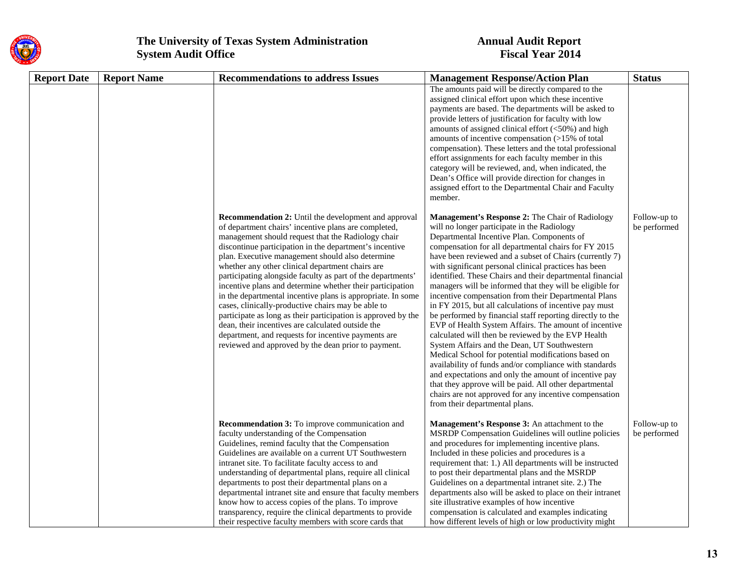

| <b>Report Date</b> | <b>Report Name</b> | <b>Recommendations to address Issues</b>                                                                                                                                                                                                                                                                                                                                                                                                                                                                                                                                                                                                                                                                                                                                                                                   | <b>Management Response/Action Plan</b>                                                                                                                                                                                                                                                                                                                                                                                                                                                                                                                                                                                                                                                                                                                                                                                                                                                                                                                                                                                                                                                                                          | <b>Status</b>                |
|--------------------|--------------------|----------------------------------------------------------------------------------------------------------------------------------------------------------------------------------------------------------------------------------------------------------------------------------------------------------------------------------------------------------------------------------------------------------------------------------------------------------------------------------------------------------------------------------------------------------------------------------------------------------------------------------------------------------------------------------------------------------------------------------------------------------------------------------------------------------------------------|---------------------------------------------------------------------------------------------------------------------------------------------------------------------------------------------------------------------------------------------------------------------------------------------------------------------------------------------------------------------------------------------------------------------------------------------------------------------------------------------------------------------------------------------------------------------------------------------------------------------------------------------------------------------------------------------------------------------------------------------------------------------------------------------------------------------------------------------------------------------------------------------------------------------------------------------------------------------------------------------------------------------------------------------------------------------------------------------------------------------------------|------------------------------|
|                    |                    |                                                                                                                                                                                                                                                                                                                                                                                                                                                                                                                                                                                                                                                                                                                                                                                                                            | The amounts paid will be directly compared to the<br>assigned clinical effort upon which these incentive<br>payments are based. The departments will be asked to<br>provide letters of justification for faculty with low<br>amounts of assigned clinical effort $(<50\%)$ and high<br>amounts of incentive compensation (>15% of total<br>compensation). These letters and the total professional<br>effort assignments for each faculty member in this<br>category will be reviewed, and, when indicated, the<br>Dean's Office will provide direction for changes in<br>assigned effort to the Departmental Chair and Faculty<br>member.                                                                                                                                                                                                                                                                                                                                                                                                                                                                                      |                              |
|                    |                    | Recommendation 2: Until the development and approval<br>of department chairs' incentive plans are completed,<br>management should request that the Radiology chair<br>discontinue participation in the department's incentive<br>plan. Executive management should also determine<br>whether any other clinical department chairs are<br>participating alongside faculty as part of the departments'<br>incentive plans and determine whether their participation<br>in the departmental incentive plans is appropriate. In some<br>cases, clinically-productive chairs may be able to<br>participate as long as their participation is approved by the<br>dean, their incentives are calculated outside the<br>department, and requests for incentive payments are<br>reviewed and approved by the dean prior to payment. | Management's Response 2: The Chair of Radiology<br>will no longer participate in the Radiology<br>Departmental Incentive Plan. Components of<br>compensation for all departmental chairs for FY 2015<br>have been reviewed and a subset of Chairs (currently 7)<br>with significant personal clinical practices has been<br>identified. These Chairs and their departmental financial<br>managers will be informed that they will be eligible for<br>incentive compensation from their Departmental Plans<br>in FY 2015, but all calculations of incentive pay must<br>be performed by financial staff reporting directly to the<br>EVP of Health System Affairs. The amount of incentive<br>calculated will then be reviewed by the EVP Health<br>System Affairs and the Dean, UT Southwestern<br>Medical School for potential modifications based on<br>availability of funds and/or compliance with standards<br>and expectations and only the amount of incentive pay<br>that they approve will be paid. All other departmental<br>chairs are not approved for any incentive compensation<br>from their departmental plans. | Follow-up to<br>be performed |
|                    |                    | Recommendation 3: To improve communication and<br>faculty understanding of the Compensation<br>Guidelines, remind faculty that the Compensation<br>Guidelines are available on a current UT Southwestern<br>intranet site. To facilitate faculty access to and<br>understanding of departmental plans, require all clinical<br>departments to post their departmental plans on a<br>departmental intranet site and ensure that faculty members<br>know how to access copies of the plans. To improve<br>transparency, require the clinical departments to provide<br>their respective faculty members with score cards that                                                                                                                                                                                                | Management's Response 3: An attachment to the<br>MSRDP Compensation Guidelines will outline policies<br>and procedures for implementing incentive plans.<br>Included in these policies and procedures is a<br>requirement that: 1.) All departments will be instructed<br>to post their departmental plans and the MSRDP<br>Guidelines on a departmental intranet site. 2.) The<br>departments also will be asked to place on their intranet<br>site illustrative examples of how incentive<br>compensation is calculated and examples indicating<br>how different levels of high or low productivity might                                                                                                                                                                                                                                                                                                                                                                                                                                                                                                                     | Follow-up to<br>be performed |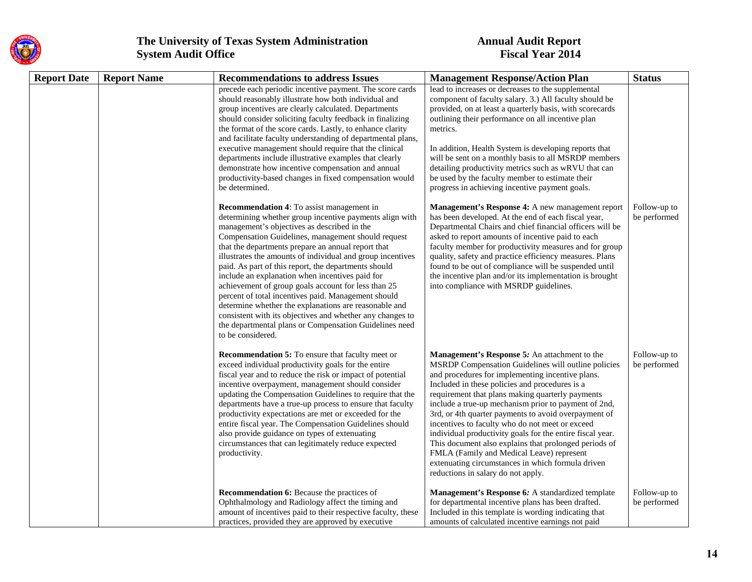

| <b>Report Date</b> | <b>Report Name</b> | <b>Recommendations to address Issues</b>                                                                                                                                                                                                                                                                                                                                                                                                                                                                                                                                                                                                                                                                                                                    | <b>Management Response/Action Plan</b>                                                                                                                                                                                                                                                                                                                                                                                                                                                                                                                                                                                                                                                          | <b>Status</b>                |
|--------------------|--------------------|-------------------------------------------------------------------------------------------------------------------------------------------------------------------------------------------------------------------------------------------------------------------------------------------------------------------------------------------------------------------------------------------------------------------------------------------------------------------------------------------------------------------------------------------------------------------------------------------------------------------------------------------------------------------------------------------------------------------------------------------------------------|-------------------------------------------------------------------------------------------------------------------------------------------------------------------------------------------------------------------------------------------------------------------------------------------------------------------------------------------------------------------------------------------------------------------------------------------------------------------------------------------------------------------------------------------------------------------------------------------------------------------------------------------------------------------------------------------------|------------------------------|
|                    |                    | precede each periodic incentive payment. The score cards<br>should reasonably illustrate how both individual and<br>group incentives are clearly calculated. Departments<br>should consider soliciting faculty feedback in finalizing<br>the format of the score cards. Lastly, to enhance clarity<br>and facilitate faculty understanding of departmental plans,<br>executive management should require that the clinical<br>departments include illustrative examples that clearly<br>demonstrate how incentive compensation and annual<br>productivity-based changes in fixed compensation would<br>be determined.                                                                                                                                       | lead to increases or decreases to the supplemental<br>component of faculty salary. 3.) All faculty should be<br>provided, on at least a quarterly basis, with scorecards<br>outlining their performance on all incentive plan<br>metrics.<br>In addition, Health System is developing reports that<br>will be sent on a monthly basis to all MSRDP members<br>detailing productivity metrics such as wRVU that can<br>be used by the faculty member to estimate their<br>progress in achieving incentive payment goals.                                                                                                                                                                         |                              |
|                    |                    | Recommendation 4: To assist management in<br>determining whether group incentive payments align with<br>management's objectives as described in the<br>Compensation Guidelines, management should request<br>that the departments prepare an annual report that<br>illustrates the amounts of individual and group incentives<br>paid. As part of this report, the departments should<br>include an explanation when incentives paid for<br>achievement of group goals account for less than 25<br>percent of total incentives paid. Management should<br>determine whether the explanations are reasonable and<br>consistent with its objectives and whether any changes to<br>the departmental plans or Compensation Guidelines need<br>to be considered. | Management's Response 4: A new management report<br>has been developed. At the end of each fiscal year,<br>Departmental Chairs and chief financial officers will be<br>asked to report amounts of incentive paid to each<br>faculty member for productivity measures and for group<br>quality, safety and practice efficiency measures. Plans<br>found to be out of compliance will be suspended until<br>the incentive plan and/or its implementation is brought<br>into compliance with MSRDP guidelines.                                                                                                                                                                                     | Follow-up to<br>be performed |
|                    |                    | <b>Recommendation 5:</b> To ensure that faculty meet or<br>exceed individual productivity goals for the entire<br>fiscal year and to reduce the risk or impact of potential<br>incentive overpayment, management should consider<br>updating the Compensation Guidelines to require that the<br>departments have a true-up process to ensure that faculty<br>productivity expectations are met or exceeded for the<br>entire fiscal year. The Compensation Guidelines should<br>also provide guidance on types of extenuating<br>circumstances that can legitimately reduce expected<br>productivity.                                                                                                                                                       | Management's Response 5: An attachment to the<br>MSRDP Compensation Guidelines will outline policies<br>and procedures for implementing incentive plans.<br>Included in these policies and procedures is a<br>requirement that plans making quarterly payments<br>include a true-up mechanism prior to payment of 2nd,<br>3rd, or 4th quarter payments to avoid overpayment of<br>incentives to faculty who do not meet or exceed<br>individual productivity goals for the entire fiscal year.<br>This document also explains that prolonged periods of<br>FMLA (Family and Medical Leave) represent<br>extenuating circumstances in which formula driven<br>reductions in salary do not apply. | Follow-up to<br>be performed |
|                    |                    | Recommendation 6: Because the practices of<br>Ophthalmology and Radiology affect the timing and<br>amount of incentives paid to their respective faculty, these<br>practices, provided they are approved by executive                                                                                                                                                                                                                                                                                                                                                                                                                                                                                                                                       | Management's Response 6: A standardized template<br>for departmental incentive plans has been drafted.<br>Included in this template is wording indicating that<br>amounts of calculated incentive earnings not paid                                                                                                                                                                                                                                                                                                                                                                                                                                                                             | Follow-up to<br>be performed |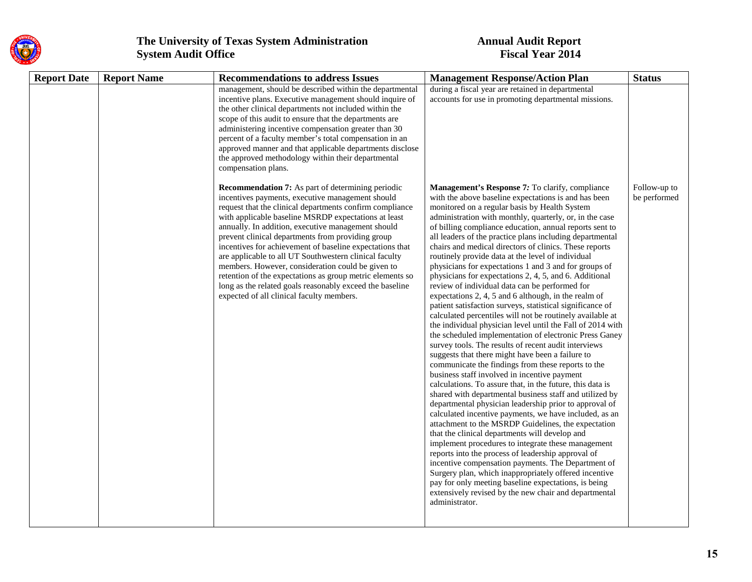

| <b>Report Date</b> | <b>Report Name</b> | <b>Recommendations to address Issues</b>                                                                                                                                                                                                                                                                                                                                                                                                                                                                                                                                                                                                                                                     | <b>Management Response/Action Plan</b>                                                                                                                                                                                                                                                                                                                                                                                                                                                                                                                                                                                                                                                                                                                                                                                                                                                                                                                                                                                                                                                                                                                                                                                                                                                                                                                                                                                                                                                                                                                                                                                                                                                                                                                                                                                                                                        | <b>Status</b>                |
|--------------------|--------------------|----------------------------------------------------------------------------------------------------------------------------------------------------------------------------------------------------------------------------------------------------------------------------------------------------------------------------------------------------------------------------------------------------------------------------------------------------------------------------------------------------------------------------------------------------------------------------------------------------------------------------------------------------------------------------------------------|-------------------------------------------------------------------------------------------------------------------------------------------------------------------------------------------------------------------------------------------------------------------------------------------------------------------------------------------------------------------------------------------------------------------------------------------------------------------------------------------------------------------------------------------------------------------------------------------------------------------------------------------------------------------------------------------------------------------------------------------------------------------------------------------------------------------------------------------------------------------------------------------------------------------------------------------------------------------------------------------------------------------------------------------------------------------------------------------------------------------------------------------------------------------------------------------------------------------------------------------------------------------------------------------------------------------------------------------------------------------------------------------------------------------------------------------------------------------------------------------------------------------------------------------------------------------------------------------------------------------------------------------------------------------------------------------------------------------------------------------------------------------------------------------------------------------------------------------------------------------------------|------------------------------|
|                    |                    | management, should be described within the departmental<br>incentive plans. Executive management should inquire of<br>the other clinical departments not included within the<br>scope of this audit to ensure that the departments are<br>administering incentive compensation greater than 30<br>percent of a faculty member's total compensation in an<br>approved manner and that applicable departments disclose<br>the approved methodology within their departmental<br>compensation plans.                                                                                                                                                                                            | during a fiscal year are retained in departmental<br>accounts for use in promoting departmental missions.                                                                                                                                                                                                                                                                                                                                                                                                                                                                                                                                                                                                                                                                                                                                                                                                                                                                                                                                                                                                                                                                                                                                                                                                                                                                                                                                                                                                                                                                                                                                                                                                                                                                                                                                                                     |                              |
|                    |                    | <b>Recommendation 7:</b> As part of determining periodic<br>incentives payments, executive management should<br>request that the clinical departments confirm compliance<br>with applicable baseline MSRDP expectations at least<br>annually. In addition, executive management should<br>prevent clinical departments from providing group<br>incentives for achievement of baseline expectations that<br>are applicable to all UT Southwestern clinical faculty<br>members. However, consideration could be given to<br>retention of the expectations as group metric elements so<br>long as the related goals reasonably exceed the baseline<br>expected of all clinical faculty members. | Management's Response 7: To clarify, compliance<br>with the above baseline expectations is and has been<br>monitored on a regular basis by Health System<br>administration with monthly, quarterly, or, in the case<br>of billing compliance education, annual reports sent to<br>all leaders of the practice plans including departmental<br>chairs and medical directors of clinics. These reports<br>routinely provide data at the level of individual<br>physicians for expectations 1 and 3 and for groups of<br>physicians for expectations 2, 4, 5, and 6. Additional<br>review of individual data can be performed for<br>expectations 2, 4, 5 and 6 although, in the realm of<br>patient satisfaction surveys, statistical significance of<br>calculated percentiles will not be routinely available at<br>the individual physician level until the Fall of 2014 with<br>the scheduled implementation of electronic Press Ganey<br>survey tools. The results of recent audit interviews<br>suggests that there might have been a failure to<br>communicate the findings from these reports to the<br>business staff involved in incentive payment<br>calculations. To assure that, in the future, this data is<br>shared with departmental business staff and utilized by<br>departmental physician leadership prior to approval of<br>calculated incentive payments, we have included, as an<br>attachment to the MSRDP Guidelines, the expectation<br>that the clinical departments will develop and<br>implement procedures to integrate these management<br>reports into the process of leadership approval of<br>incentive compensation payments. The Department of<br>Surgery plan, which inappropriately offered incentive<br>pay for only meeting baseline expectations, is being<br>extensively revised by the new chair and departmental<br>administrator. | Follow-up to<br>be performed |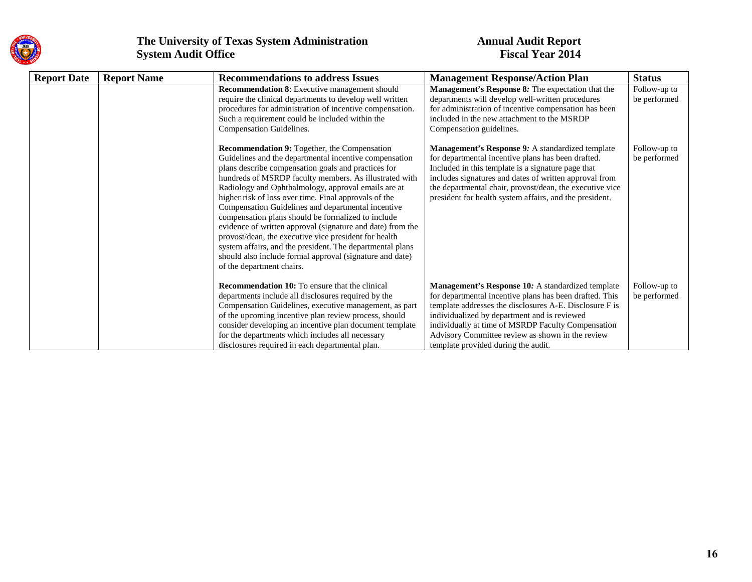

| <b>Report Date</b> | <b>Report Name</b> | <b>Recommendations to address Issues</b>                                                                                                                                                                                                                                                                                                                                                                                                                                                                                                                                                                                                                                                                                         | <b>Management Response/Action Plan</b>                                                                                                                                                                                                                                                                                                                                   | <b>Status</b>                |
|--------------------|--------------------|----------------------------------------------------------------------------------------------------------------------------------------------------------------------------------------------------------------------------------------------------------------------------------------------------------------------------------------------------------------------------------------------------------------------------------------------------------------------------------------------------------------------------------------------------------------------------------------------------------------------------------------------------------------------------------------------------------------------------------|--------------------------------------------------------------------------------------------------------------------------------------------------------------------------------------------------------------------------------------------------------------------------------------------------------------------------------------------------------------------------|------------------------------|
|                    |                    | Recommendation 8: Executive management should<br>require the clinical departments to develop well written<br>procedures for administration of incentive compensation.<br>Such a requirement could be included within the<br>Compensation Guidelines.                                                                                                                                                                                                                                                                                                                                                                                                                                                                             | Management's Response 8: The expectation that the<br>departments will develop well-written procedures<br>for administration of incentive compensation has been<br>included in the new attachment to the MSRDP<br>Compensation guidelines.                                                                                                                                | Follow-up to<br>be performed |
|                    |                    | Recommendation 9: Together, the Compensation<br>Guidelines and the departmental incentive compensation<br>plans describe compensation goals and practices for<br>hundreds of MSRDP faculty members. As illustrated with<br>Radiology and Ophthalmology, approval emails are at<br>higher risk of loss over time. Final approvals of the<br>Compensation Guidelines and departmental incentive<br>compensation plans should be formalized to include<br>evidence of written approval (signature and date) from the<br>provost/dean, the executive vice president for health<br>system affairs, and the president. The departmental plans<br>should also include formal approval (signature and date)<br>of the department chairs. | Management's Response 9: A standardized template<br>for departmental incentive plans has been drafted.<br>Included in this template is a signature page that<br>includes signatures and dates of written approval from<br>the departmental chair, provost/dean, the executive vice<br>president for health system affairs, and the president.                            | Follow-up to<br>be performed |
|                    |                    | <b>Recommendation 10:</b> To ensure that the clinical<br>departments include all disclosures required by the<br>Compensation Guidelines, executive management, as part<br>of the upcoming incentive plan review process, should<br>consider developing an incentive plan document template<br>for the departments which includes all necessary<br>disclosures required in each departmental plan.                                                                                                                                                                                                                                                                                                                                | Management's Response 10: A standardized template<br>for departmental incentive plans has been drafted. This<br>template addresses the disclosures A-E. Disclosure F is<br>individualized by department and is reviewed<br>individually at time of MSRDP Faculty Compensation<br>Advisory Committee review as shown in the review<br>template provided during the audit. | Follow-up to<br>be performed |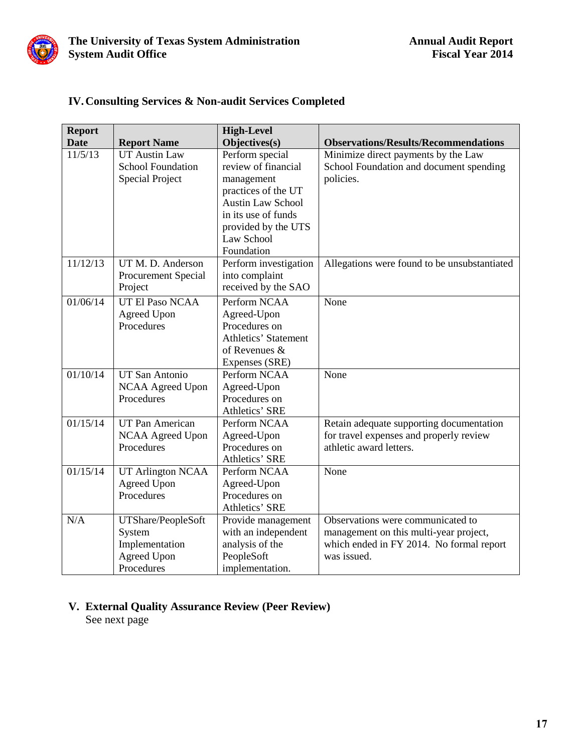<span id="page-18-0"></span>

| <b>Report</b> |                          | <b>High-Level</b>           |                                              |
|---------------|--------------------------|-----------------------------|----------------------------------------------|
| <b>Date</b>   | <b>Report Name</b>       | Objectives(s)               | <b>Observations/Results/Recommendations</b>  |
| 11/5/13       | <b>UT Austin Law</b>     | Perform special             | Minimize direct payments by the Law          |
|               | <b>School Foundation</b> | review of financial         | School Foundation and document spending      |
|               | <b>Special Project</b>   | management                  | policies.                                    |
|               |                          | practices of the UT         |                                              |
|               |                          | <b>Austin Law School</b>    |                                              |
|               |                          | in its use of funds         |                                              |
|               |                          | provided by the UTS         |                                              |
|               |                          | Law School                  |                                              |
|               |                          | Foundation                  |                                              |
| 11/12/13      | UT M. D. Anderson        | Perform investigation       | Allegations were found to be unsubstantiated |
|               | Procurement Special      | into complaint              |                                              |
|               | Project                  | received by the SAO         |                                              |
| 01/06/14      | UT El Paso NCAA          | Perform NCAA                | None                                         |
|               | <b>Agreed Upon</b>       | Agreed-Upon                 |                                              |
|               | Procedures               | Procedures on               |                                              |
|               |                          | <b>Athletics' Statement</b> |                                              |
|               |                          | of Revenues $\&$            |                                              |
|               |                          | Expenses (SRE)              |                                              |
| 01/10/14      | UT San Antonio           | Perform NCAA                | None                                         |
|               | NCAA Agreed Upon         | Agreed-Upon                 |                                              |
|               | Procedures               | Procedures on               |                                              |
|               |                          | Athletics' SRE              |                                              |
| 01/15/14      | <b>UT Pan American</b>   | Perform NCAA                | Retain adequate supporting documentation     |
|               | <b>NCAA Agreed Upon</b>  | Agreed-Upon                 | for travel expenses and properly review      |
|               | Procedures               | Procedures on               | athletic award letters.                      |
|               |                          | Athletics' SRE              |                                              |
| 01/15/14      | <b>UT Arlington NCAA</b> | Perform NCAA                | None                                         |
|               | Agreed Upon              | Agreed-Upon                 |                                              |
|               | Procedures               | Procedures on               |                                              |
|               |                          | Athletics' SRE              |                                              |
| N/A           | UTShare/PeopleSoft       | Provide management          | Observations were communicated to            |
|               | System                   | with an independent         | management on this multi-year project,       |
|               | Implementation           | analysis of the             | which ended in FY 2014. No formal report     |
|               | <b>Agreed Upon</b>       | PeopleSoft                  | was issued.                                  |
|               | Procedures               | implementation.             |                                              |

### **IV.Consulting Services & Non-audit Services Completed**

### **V. External Quality Assurance Review (Peer Review)**

See next page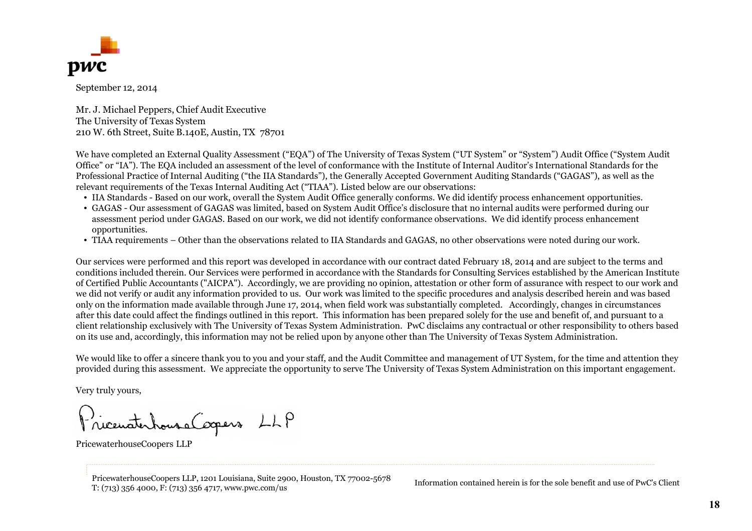

September 12, 2014

Mr. J. Michael Peppers, Chief Audit Executive The University of Texas System 210 W. 6th Street, Suite B.140E, Austin, TX 78701

We have completed an External Quality Assessment ("EQA") of The University of Texas System ("UT System" or "System") Audit Office ("System Audit Office" or "IA"). The EQA included an assessment of the level of conformance with the Institute of Internal Auditor's International Standards for the Professional Practice of Internal Auditing ("the IIA Standards"), the Generally Accepted Government Auditing Standards ("GAGAS"), as well as the relevant requirements of the Texas Internal Auditing Act ("TIAA"). Listed below are our observations:

- IIA Standards Based on our work, overall the System Audit Office generally conforms. We did identify process enhancement opportunities.
- GAGAS Our assessment of GAGAS was limited, based on System Audit Office's disclosure that no internal audits were performed during our assessment period under GAGAS. Based on our work, we did not identify conformance observations. We did identify process enhancement opportunities.
- TIAA requirements Other than the observations related to IIA Standards and GAGAS, no other observations were noted during our work.

Our services were performed and this report was developed in accordance with our contract dated February 18, 2014 and are subject to the terms and conditions included therein. Our Services were performed in accordance with the Standards for Consulting Services established by the American Institute of Certified Public Accountants ("AICPA"). Accordingly, we are providing no opinion, attestation or other form of assurance with respect to our work and we did not verify or audit any information provided to us. Our work was limited to the specific procedures and analysis described herein and was based only on the information made available through June 17, 2014, when field work was substantially completed. Accordingly, changes in circumstances after this date could affect the findings outlined in this report. This information has been prepared solely for the use and benefit of, and pursuant to a client relationship exclusively with The University of Texas System Administration. PwC disclaims any contractual or other responsibility to others based on its use and, accordingly, this information may not be relied upon by anyone other than The University of Texas System Administration.

We would like to offer a sincere thank you to you and your staff, and the Audit Committee and management of UT System, for the time and attention they provided during this assessment. We appreciate the opportunity to serve The University of Texas System Administration on this important engagement.

Very truly yours,

).<br>ricenaterhouse Coopers LLP

PricewaterhouseCoopers LLP

PricewaterhouseCoopers LLP, 1201 Louisiana, Suite 2900, Houston, TX 77002-5678 PricewaterhouseCoopers LLP, 1201 Louisiana, Suite 2900, Houston, 1X 77002-5678 Information contained herein is for the sole benefit and use of PwC's Client T: (713) 356 4000, F: (713) 356 4717, www.pwc.com/us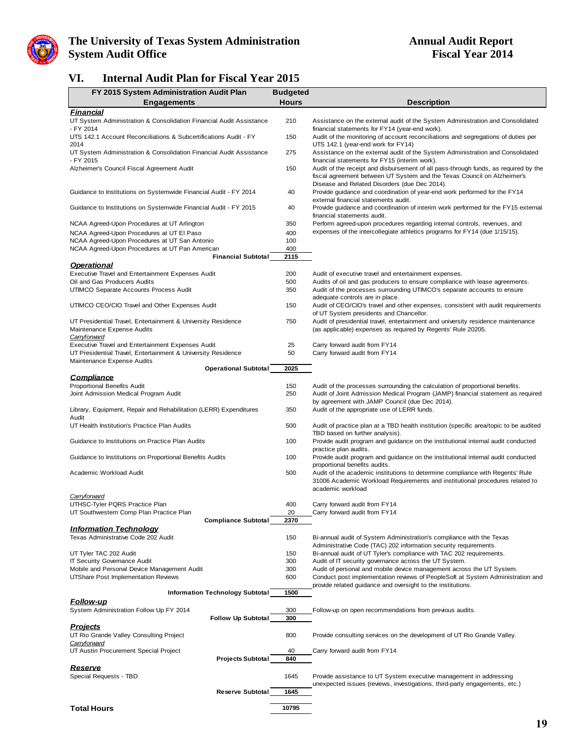

### **VI. Internal Audit Plan for Fiscal Year 2015**

| FY 2015 System Administration Audit Plan                                                        | <b>Budgeted</b> |                                                                                                                                                        |
|-------------------------------------------------------------------------------------------------|-----------------|--------------------------------------------------------------------------------------------------------------------------------------------------------|
| <b>Engagements</b>                                                                              | <b>Hours</b>    | <b>Description</b>                                                                                                                                     |
| <b>Financial</b>                                                                                |                 |                                                                                                                                                        |
| UT System Administration & Consolidation Financial Audit Assistance<br>- FY 2014                | 210             | Assistance on the external audit of the System Administration and Consolidated<br>financial statements for FY14 (year-end work).                       |
| UTS 142.1 Account Reconciliations & Subcertifications Audit - FY                                | 150             | Audit of the monitoring of account reconciliations and segregations of duties per                                                                      |
| 2014                                                                                            |                 | UTS 142.1 (year-end work for FY14)                                                                                                                     |
| UT System Administration & Consolidation Financial Audit Assistance<br>- FY 2015                | 275             | Assistance on the external audit of the System Administration and Consolidated<br>financial statements for FY15 (interim work).                        |
| Alzheimer's Council Fiscal Agreement Audit                                                      | 150             | Audit of the receipt and disbursement of all pass-through funds, as required by the                                                                    |
|                                                                                                 |                 | fiscal agreement between UT System and the Texas Council on Alzheimer's                                                                                |
|                                                                                                 |                 | Disease and Related Disorders (due Dec 2014).                                                                                                          |
| Guidance to Institutions on Systemwide Financial Audit - FY 2014                                | 40              | Provide guidance and coordination of year-end work performed for the FY14<br>external financial statements audit.                                      |
| Guidance to Institutions on Systemwide Financial Audit - FY 2015                                | 40              | Provide guidance and coordination of interim work performed for the FY15 external                                                                      |
|                                                                                                 |                 | financial statements audit.                                                                                                                            |
| NCAA Agreed-Upon Procedures at UT Arlington                                                     | 350             | Perform agreed-upon procedures regarding internal controls, revenues, and                                                                              |
| NCAA Agreed-Upon Procedures at UT EI Paso                                                       | 400<br>100      | expenses of the intercollegiate athletics programs for FY14 (due 1/15/15).                                                                             |
| NCAA Agreed-Upon Procedures at UT San Antonio<br>NCAA Agreed-Upon Procedures at UT Pan American | 400             |                                                                                                                                                        |
| <b>Financial Subtotal</b>                                                                       | 2115            |                                                                                                                                                        |
| <b>Operational</b>                                                                              |                 |                                                                                                                                                        |
| Executive Travel and Entertainment Expenses Audit                                               | 200             | Audit of executive travel and entertainment expenses.                                                                                                  |
| Oil and Gas Producers Audits<br>UTIMCO Separate Accounts Process Audit                          | 500<br>350      | Audits of oil and gas producers to ensure compliance with lease agreements.<br>Audit of the processes surrounding UTIMCO's separate accounts to ensure |
|                                                                                                 |                 | adequate controls are in place.                                                                                                                        |
| UTIMCO CEO/CIO Travel and Other Expenses Audit                                                  | 150             | Audit of CEO/CIO's travel and other expenses, consistent with audit requirements                                                                       |
| UT Presidential Travel, Entertainment & University Residence                                    | 750             | of UT System presidents and Chancellor.                                                                                                                |
| Maintenance Expense Audits                                                                      |                 | Audit of presidential travel, entertainment and university residence maintenance<br>(as applicable) expenses as required by Regents' Rule 20205.       |
| Carryforward                                                                                    |                 |                                                                                                                                                        |
| <b>Executive Travel and Entertainment Expenses Audit</b>                                        | 25              | Carry forward audit from FY14                                                                                                                          |
| UT Presidential Travel, Entertainment & University Residence<br>Maintenance Expense Audits      | 50              | Carry forward audit from FY14                                                                                                                          |
| <b>Operational Subtotal</b>                                                                     | 2025            |                                                                                                                                                        |
| <u>Compliance</u>                                                                               |                 |                                                                                                                                                        |
| <b>Proportional Benefits Audit</b>                                                              | 150             | Audit of the processes surrounding the calculation of proportional benefits.                                                                           |
| Joint Admission Medical Program Audit                                                           | 250             | Audit of Joint Admission Medical Program (JAMP) financial statement as required<br>by agreement with JAMP Council (due Dec 2014).                      |
| Library, Equipment, Repair and Rehabilitation (LERR) Expenditures                               | 350             | Audit of the appropriate use of LERR funds.                                                                                                            |
| Audit                                                                                           |                 |                                                                                                                                                        |
| UT Health Institution's Practice Plan Audits                                                    | 500             | Audit of practice plan at a TBD health institution (specific area/topic to be audited                                                                  |
| Guidance to Institutions on Practice Plan Audits                                                | 100             | TBD based on further analysis).<br>Provide audit program and guidance on the institutional internal audit conducted                                    |
|                                                                                                 |                 | practice plan audits.                                                                                                                                  |
| Guidance to Institutions on Proportional Benefits Audits                                        | 100             | Provide audit program and guidance on the institutional internal audit conducted                                                                       |
| Academic Workload Audit                                                                         | 500             | proportional benefits audits.<br>Audit of the academic institutions to determine compliance with Regents' Rule                                         |
|                                                                                                 |                 | 31006 Academic Workload Requirements and institutional procedures related to                                                                           |
|                                                                                                 |                 | academic workload                                                                                                                                      |
| <b>Carryforward</b><br>UTHSC-Tyler PQRS Practice Plan                                           | 400             | Carry forward audit from FY14                                                                                                                          |
| UT Southwestern Comp Plan Practice Plan                                                         | 20              | Carry forward audit from FY14                                                                                                                          |
| <b>Compliance Subtotal</b>                                                                      | 2370            |                                                                                                                                                        |
| <b>Information Technology</b>                                                                   |                 |                                                                                                                                                        |
| Texas Administrative Code 202 Audit                                                             | 150             | Bi-annual audit of System Administration's compliance with the Texas<br>Administrative Code (TAC) 202 information security requirements.               |
| UT Tyler TAC 202 Audit                                                                          | 150             | Bi-annual audit of UT Tyler's compliance with TAC 202 requirements.                                                                                    |
| <b>IT Security Governance Audit</b>                                                             | 300             | Audit of IT security governance across the UT System.                                                                                                  |
| Mobile and Personal Device Management Audit                                                     | 300<br>600      | Audit of personal and mobile device management across the UT System.                                                                                   |
| UTShare Post Implementation Reviews                                                             |                 | Conduct post implementation reviews of PeopleSoft at System Administration and<br>provide related guidance and oversight to the institutions.          |
| <b>Information Technology Subtotal</b>                                                          | 1500            |                                                                                                                                                        |
| <b>Follow-up</b>                                                                                |                 |                                                                                                                                                        |
| System Administration Follow Up FY 2014                                                         | 300             | Follow-up on open recommendations from previous audits.                                                                                                |
| <b>Follow Up Subtotal</b><br><b>Projects</b>                                                    | 300             |                                                                                                                                                        |
| UT Rio Grande Valley Consulting Project                                                         | 800             | Provide consulting services on the development of UT Rio Grande Valley.                                                                                |
| Carryforward                                                                                    |                 |                                                                                                                                                        |
| UT Austin Procurement Special Project                                                           | 40              | Carry forward audit from FY14                                                                                                                          |
| <b>Projects Subtotal</b><br><b>Reserve</b>                                                      | 840             |                                                                                                                                                        |
| Special Requests - TBD                                                                          | 1645            | Provide assistance to UT System executive management in addressing                                                                                     |
|                                                                                                 |                 | unexpected issues (reviews, investigations, third-party engagements, etc.)                                                                             |
| <b>Reserve Subtotal</b>                                                                         | 1645            |                                                                                                                                                        |
| <b>Total Hours</b>                                                                              | 10795           |                                                                                                                                                        |
|                                                                                                 |                 |                                                                                                                                                        |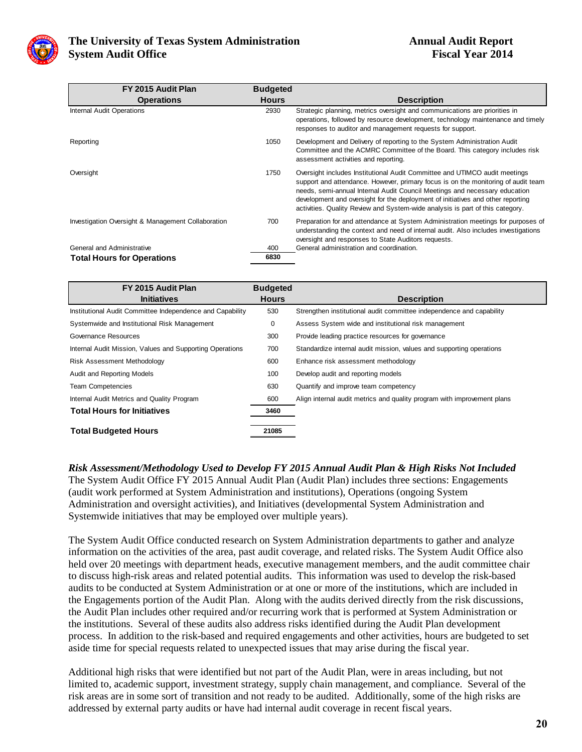

| FY 2015 Audit Plan                                 | <b>Budgeted</b> |                                                                                                                                                                                                                                                                                                                                                                                                                   |
|----------------------------------------------------|-----------------|-------------------------------------------------------------------------------------------------------------------------------------------------------------------------------------------------------------------------------------------------------------------------------------------------------------------------------------------------------------------------------------------------------------------|
| <b>Operations</b>                                  | <b>Hours</b>    | <b>Description</b>                                                                                                                                                                                                                                                                                                                                                                                                |
| <b>Internal Audit Operations</b>                   | 2930            | Strategic planning, metrics oversight and communications are priorities in<br>operations, followed by resource development, technology maintenance and timely<br>responses to auditor and management requests for support.                                                                                                                                                                                        |
| Reporting                                          | 1050            | Development and Delivery of reporting to the System Administration Audit<br>Committee and the ACMRC Committee of the Board. This category includes risk<br>assessment activities and reporting.                                                                                                                                                                                                                   |
| Oversight                                          | 1750            | Oversight includes Institutional Audit Committee and UTIMCO audit meetings<br>support and attendance. However, primary focus is on the monitoring of audit team<br>needs, semi-annual Internal Audit Council Meetings and necessary education<br>development and oversight for the deployment of initiatives and other reporting<br>activities. Quality Review and System-wide analysis is part of this category. |
| Investigation Oversight & Management Collaboration | 700             | Preparation for and attendance at System Administration meetings for purposes of<br>understanding the context and need of internal audit. Also includes investigations<br>oversight and responses to State Auditors requests.                                                                                                                                                                                     |
| General and Administrative                         | 400             | General administration and coordination.                                                                                                                                                                                                                                                                                                                                                                          |
| <b>Total Hours for Operations</b>                  | 6830            |                                                                                                                                                                                                                                                                                                                                                                                                                   |

| FY 2015 Audit Plan                                        | <b>Budgeted</b> |                                                                         |
|-----------------------------------------------------------|-----------------|-------------------------------------------------------------------------|
| <b>Initiatives</b>                                        | <b>Hours</b>    | <b>Description</b>                                                      |
| Institutional Audit Committee Independence and Capability | 530             | Strengthen institutional audit committee independence and capability    |
| Systemwide and Institutional Risk Management              | 0               | Assess System wide and institutional risk management                    |
| Governance Resources                                      | 300             | Provide leading practice resources for governance                       |
| Internal Audit Mission, Values and Supporting Operations  | 700             | Standardize internal audit mission, values and supporting operations    |
| Risk Assessment Methodology                               | 600             | Enhance risk assessment methodology                                     |
| Audit and Reporting Models                                | 100             | Develop audit and reporting models                                      |
| <b>Team Competencies</b>                                  | 630             | Quantify and improve team competency                                    |
| Internal Audit Metrics and Quality Program                | 600             | Align internal audit metrics and quality program with improvement plans |
| <b>Total Hours for Initiatives</b>                        | 3460            |                                                                         |
| <b>Total Budgeted Hours</b>                               | 21085           |                                                                         |

*Risk Assessment/Methodology Used to Develop FY 2015 Annual Audit Plan & High Risks Not Included* The System Audit Office FY 2015 Annual Audit Plan (Audit Plan) includes three sections: Engagements (audit work performed at System Administration and institutions), Operations (ongoing System Administration and oversight activities), and Initiatives (developmental System Administration and Systemwide initiatives that may be employed over multiple years).

The System Audit Office conducted research on System Administration departments to gather and analyze information on the activities of the area, past audit coverage, and related risks. The System Audit Office also held over 20 meetings with department heads, executive management members, and the audit committee chair to discuss high-risk areas and related potential audits. This information was used to develop the risk-based audits to be conducted at System Administration or at one or more of the institutions, which are included in the Engagements portion of the Audit Plan. Along with the audits derived directly from the risk discussions, the Audit Plan includes other required and/or recurring work that is performed at System Administration or the institutions. Several of these audits also address risks identified during the Audit Plan development process. In addition to the risk-based and required engagements and other activities, hours are budgeted to set aside time for special requests related to unexpected issues that may arise during the fiscal year.

Additional high risks that were identified but not part of the Audit Plan, were in areas including, but not limited to, academic support, investment strategy, supply chain management, and compliance. Several of the risk areas are in some sort of transition and not ready to be audited. Additionally, some of the high risks are addressed by external party audits or have had internal audit coverage in recent fiscal years.